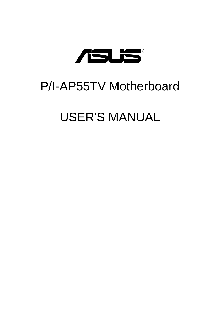

# P/I-AP55TV Motherboard

USER'S MANUAL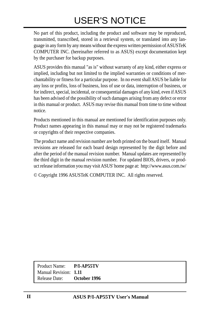# USER'S NOTICE

No part of this product, including the product and software may be reproduced, transmitted, transcribed, stored in a retrieval system, or translated into any language in any form by any means without the express written permission of ASUSTeK COMPUTER INC. (hereinafter referred to as ASUS) except documentation kept by the purchaser for backup purposes.

ASUS provides this manual "as is" without warranty of any kind, either express or implied, including but not limited to the implied warranties or conditions of merchantability or fitness for a particular purpose. In no event shall ASUS be liable for any loss or profits, loss of business, loss of use or data, interruption of business, or for indirect, special, incidental, or consequential damages of any kind, even if ASUS has been advised of the possibility of such damages arising from any defect or error in this manual or product. ASUS may revise this manual from time to time without notice.

Products mentioned in this manual are mentioned for identification purposes only. Product names appearing in this manual may or may not be registered trademarks or copyrights of their respective companies.

The product name and revision number are both printed on the board itself. Manual revisions are released for each board design represented by the digit before and after the period of the manual revision number. Manual updates are represented by the third digit in the manual revision number. For updated BIOS, drivers, or product release information you may visit ASUS' home page at: http://www.asus.com.tw/

© Copyright 1996 ASUSTeK COMPUTER INC. All rights reserved.

Product Name: **P/I-AP55TV** Manual Revision: **1.11** Release Date: **October 1996**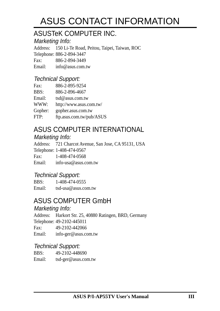# ASUS CONTACT INFORMATION

### ASUSTeK COMPUTER INC.

Marketing Info:

Address: 150 Li-Te Road, Peitou, Taipei, Taiwan, ROC

Telephone: 886-2-894-3447

Fax: 886-2-894-3449

Email: info@asus.com.tw

### Technical Support:

| Fax:    | 886-2-895-9254           |
|---------|--------------------------|
| BBS:    | 886-2-896-4667           |
| Email:  | tsd@asus.com.tw          |
| WWW:    | http://www.asus.com.tw/  |
| Gopher: | gopher.asus.com.tw       |
| FTP:    | ftp.asus.com.tw/pub/ASUS |

## ASUS COMPUTER INTERNATIONAL

### Marketing Info:

Address: 721 Charcot Avenue, San Jose, CA 95131, USA Telephone: 1-408-474-0567 Fax: 1-408-474-0568 Email: info-usa@asus.com.tw

### Technical Support:

BBS: 1-408-474-0555 Email: tsd-usa@asus.com.tw

## ASUS COMPUTER GmbH

### Marketing Info:

Address: Harkort Str. 25, 40880 Ratingen, BRD, Germany Telephone: 49-2102-445011 Fax: 49-2102-442066

Email: info-ger@asus.com.tw

### Technical Support:

BBS: 49-2102-448690 Email: tsd-ger@asus.com.tw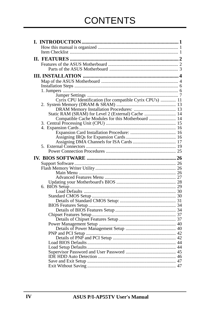# **CONTENTS**

| Cyrix CPU Identification (for compatible Cyrix CPU's)  11 |  |
|-----------------------------------------------------------|--|
|                                                           |  |
| Static RAM (SRAM) for Level 2 (External) Cache  14        |  |
| Compatible Cache Modules for this Motherboard  14         |  |
|                                                           |  |
|                                                           |  |
|                                                           |  |
|                                                           |  |
|                                                           |  |
|                                                           |  |
|                                                           |  |
|                                                           |  |
|                                                           |  |
|                                                           |  |
|                                                           |  |
|                                                           |  |
|                                                           |  |
|                                                           |  |
|                                                           |  |
|                                                           |  |
|                                                           |  |
|                                                           |  |
|                                                           |  |
|                                                           |  |
|                                                           |  |
|                                                           |  |
|                                                           |  |
|                                                           |  |
|                                                           |  |
|                                                           |  |
|                                                           |  |
|                                                           |  |
|                                                           |  |
|                                                           |  |
|                                                           |  |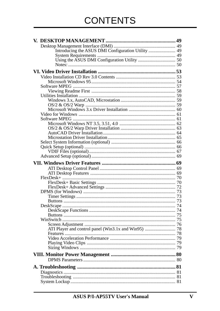| Introducing the ASUS DMI Configuration Utility  49 |  |
|----------------------------------------------------|--|
|                                                    |  |
|                                                    |  |
|                                                    |  |
|                                                    |  |
|                                                    |  |
|                                                    |  |
|                                                    |  |
|                                                    |  |
|                                                    |  |
|                                                    |  |
|                                                    |  |
|                                                    |  |
|                                                    |  |
|                                                    |  |
|                                                    |  |
|                                                    |  |
|                                                    |  |
|                                                    |  |
|                                                    |  |
|                                                    |  |
|                                                    |  |
|                                                    |  |
|                                                    |  |
|                                                    |  |
|                                                    |  |
|                                                    |  |
|                                                    |  |
|                                                    |  |
|                                                    |  |
|                                                    |  |
|                                                    |  |
|                                                    |  |
|                                                    |  |
|                                                    |  |
|                                                    |  |
|                                                    |  |
|                                                    |  |
|                                                    |  |
|                                                    |  |
|                                                    |  |
|                                                    |  |
|                                                    |  |
|                                                    |  |
|                                                    |  |
|                                                    |  |
|                                                    |  |
|                                                    |  |
|                                                    |  |
|                                                    |  |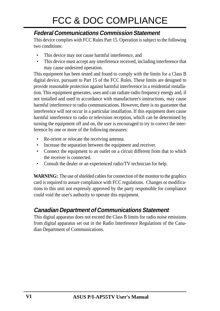# FCC & DOC COMPLIANCE

### **Federal Communications Commission Statement**

This device complies with FCC Rules Part 15. Operation is subject to the following two conditions:

- This device may not cause harmful interference, and
- This device must accept any interference received, including interference that may cause undesired operation.

This equipment has been tested and found to comply with the limits for a Class B digital device, pursuant to Part 15 of the FCC Rules. These limits are designed to provide reasonable protection against harmful interference in a residential installation. This equipment generates, uses and can radiate radio frequency energy and, if not installed and used in accordance with manufacturer's instructions, may cause harmful interference to radio communications. However, there is no guarantee that interference will not occur in a particular installation. If this equipment does cause harmful interference to radio or television reception, which can be determined by turning the equipment off and on, the user is encouraged to try to correct the interference by one or more of the following measures:

- Re-orient or relocate the receiving antenna.
- Increase the separation between the equipment and receiver.
- Connect the equipment to an outlet on a circuit different from that to which the receiver is connected.
- Consult the dealer or an experienced radio/TV technician for help.

**WARNING:** The use of shielded cables for connection of the monitor to the graphics card is required to assure compliance with FCC regulations. Changes or modifications to this unit not expressly approved by the party responsible for compliance could void the user's authority to operate this equipment.

### **Canadian Department of Communications Statement**

This digital apparatus does not exceed the Class B limits for radio noise emissions from digital apparatus set out in the Radio Interference Regulations of the Canadian Department of Communications.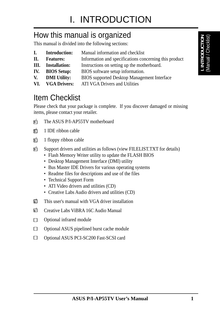## How this manual is organized

This manual is divided into the following sections:

- **I. Introduction:** Manual information and checklist
- **II. Features:** Information and specifications concerning this product
- **III.** Installation: Instructions on setting up the motherboard.
- **IV. BIOS Setup:** BIOS software setup information.
- **V. DMI Utility:** BIOS supported Desktop Management Interface
- **VI. VGA Drivers:** ATI VGA Drivers and Utilities

# Item Checklist

Please check that your package is complete. If you discover damaged or missing items, please contact your retailer.

- √ The ASUS P/I-AP55TV motherboard
- $\mathcal{N}$  1 IDE ribbon cable
- $\overrightarrow{v}$  1 floppy ribbon cable
- $\overrightarrow{v}$  Support drivers and utilities as follows (view FILELIST.TXT for details)
	- Flash Memory Writer utility to update the FLASH BIOS
	- Desktop Management Interface (DMI) utility
	- Bus Master IDE Drivers for various operating systems
	- Readme files for descriptions and use of the files
	- Technical Support Form
	- ATI Video drivers and utilities (CD)
	- Creative Labs Audio drivers and utilities (CD)
- $\nabla$  This user's manual with VGA driver installation
- √ Creative Labs ViBRA 16C Audio Manual
- $\Box$ Optional infrared module
- Optional ASUS pipelined burst cache module  $\Box$
- $\Box$ Optional ASUS PCI-SC200 Fast-SCSI card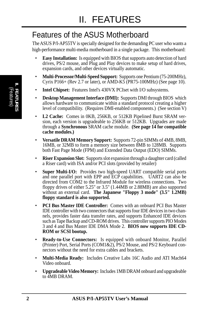# Features of the ASUS Motherboard

The ASUS P/I-AP55TV is specially designed for the demanding PC user who wants a high-performance multi-media motherboard in a single package. This motherboard:

- **Easy Installation:** Is equipped with BIOS that supports auto detection of hard drives, PS/2 mouse, and Plug and Play devices to make setup of hard drives, expansion cards, and other devices virtually automatic.
- **Multi-Processor/Multi-Speed Support:** Supports one Pentium (75-200MHz), Cyrix P166+ (Rev 2.7 or later), or  $\overline{A}MD-K5$  (PR75-100MHz) (See page 10).
- **Intel Chipset:** Features Intel's 430VX PCIset with I/O subsystems.
- **Desktop Management Interface (DMI):** Supports DMI through BIOS which allows hardware to communicate within a standard protocol creating a higher level of compatibility. (Requires DMI-enabled components.) (See section V)
- **L2 Cache:** Comes in 0KB, 256KB, or 512KB Pipelined Burst SRAM version, each version is upgradeable to 256KB or 512KB. Upgrades are made through a **Synchronous** SRAM cache module. **(See page 14 for compatible cache modules.)**
- **Versatile DRAM Memory Support:** Supports 72-pin SIMMs of 4MB, 8MB, 16MB, or 32MB to form a memory size between 8MB to 128MB. Supports both Fast Page Mode (FPM) and Extended Data Output (EDO) SIMMs.
- **Riser Expansion Slot:** Supports slot expansion through a daughter card (called a Riser card) with ISA and/or PCI slots (provided by retailer)
- **Super Multi-I/O:** Provides two high-speed UART compatible serial ports and one parallel port with EPP and ECP capabilities. UART2 can also be directed from COM2 to the Infrared Module for wireless connections. Two floppy drives of either 5.25" or 3.5" (1.44MB or 2.88MB) are also supported without an external card. **The Japanese "Floppy 3 mode"** (3.5" 1.2MB) **floppy standard is also supported.**
- **PCI Bus Master IDE Controller:** Comes with an onboard PCI Bus Master IDE controller with two connectors that supports four IDE devices in two channels, provides faster data transfer rates, and supports Enhanced IDE devices such as Tape Backup and CD-ROM drives. This controller supports PIO Modes 3 and 4 and Bus Master IDE DMA Mode 2. **BIOS now supports IDE CD-ROM or SCSI bootup.**
- **Ready-to-Use Connectors:** Is equipped with onboard Monitor, Parallel (Printer) Port, Serial Ports (COM1&2), PS/2 Mouse, and PS/2 Keyboard connectors without the need for extra cables and brackets.
- **Multi-Media Ready:** Includes Creative Labs 16C Audio and ATI Mach64 Video onboard.
- **Upgradeable Video Memory:** Includes 1MB DRAM onboard and upgradeable to 4MB DRAM.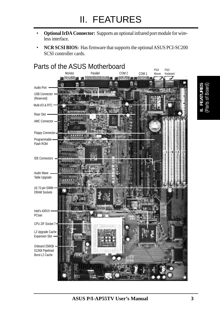- **Optional IrDA Connector:** Supports an optional infrared port module for wireless interface.
- **NCR SCSI BIOS:** Has firmware that supports the optional ASUS PCI-SC200 SCSI controller cards.

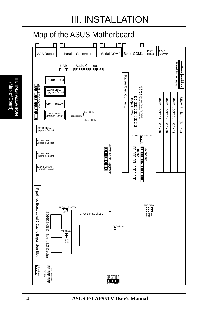# III. INSTALLATION

## Map of the ASUS Motherboard



III. INSTALLATION **III. INSTALLATION**(Map of Board) (Map of Board)

**4 ASUS P/I-AP55TV User's Manual**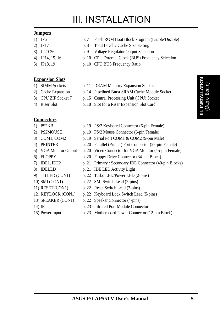# III. INSTALLATION

#### **Jumpers**

- 
- 
- 
- 
- 

### **Expansion Slots**

- 
- 
- 
- 
- 1) JP6 p. 7 Flash ROM Boot Block Program (Enable/Disable)
- 2) JP17 p. 8 Total Level 2 Cache Size Setting
- 3) JP20-26 p. 9 Voltage Regulator Output Selection
- 4) JP14, 15, 16 p. 10 CPU External Clock (BUS) Frequency Selection
- 5) JP18, 19 p. 10 CPU:BUS Frequency Ratio
- 1) SIMM Sockets p. 11 DRAM Memory Expansion Sockets
- 2) Cache Expansion p. 14 Pipelined Burst SRAM Cache Module Socket
- 3) CPU ZIF Socket 7 p. 15 Central Processing Unit (CPU) Socket
- 4) Riser Slot p. 18 Slot for a Riser Expansion Slot Card

### **Connectors**

- 
- 
- 
- 
- 
- 
- 
- 
- 
- 
- 
- 
- 
- 
- 
- 1) PS2KB p. 19 PS/2 Keyboard Connector (6-pin Female)
- 2) PS2MOUSE p. 19 PS/2 Mouse Connector (6-pin Female)
- 3) COM1, COM2 p. 19 Serial Port COM1 & COM2 (9-pin Male)
- 4) PRINTER p. 20 Parallel (Printer) Port Connector (25-pin Female)
- 5) VGA Monitor Output p. 20 Video Connector for VGA Monitor (15-pin Female)
- 6) FLOPPY p. 20 Floppy Drive Connector (34-pin Block)
- 7) IDE1, IDE2 p. 21 Primary / Secondary IDE Connector (40-pin Blocks)
- 8) IDELED p. 21 IDE LED Activity Light
- 9) TB LED (CON1) p. 22 Turbo LED/Power LED (2-pins)
- 10) SMI (CON1) p. 22 SMI Switch Lead (2-pins)
- 11) RESET (CON1) p. 22 Reset Switch Lead (2-pins)
- 12) KEYLOCK (CON1) p. 22 Keyboard Lock Switch Lead (5-pins)
- 13) SPEAKER (CON1) p. 22 Speaker Connector (4-pins)
- 14) IR p. 23 Infrared Port Module Connector
- 15) Power Input p. 23 Motherboard Power Connector (12-pin Block)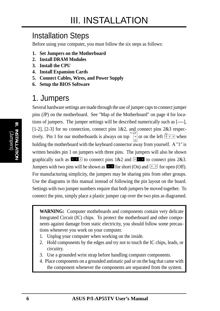## Installation Steps

Before using your computer, you must follow the six steps as follows:

- **1. Set Jumpers on the Motherboard**
- **2. Install DRAM Modules**
- **3. Install the CPU**
- **4. Install Expansion Cards**
- **5. Connect Cables, Wires, and Power Supply**
- **6. Setup the BIOS Software**

## 1. Jumpers

Several hardware settings are made through the use of jumper caps to connect jumper pins (JP) on the motherboard. See "Map of the Motherboard" on page 4 for locations of jumpers. The jumper settings will be described numerically such as [----], [1-2], [2-3] for no connection, connect pins  $1&2$ , and connect pins  $2&3$  respectively. Pin 1 for our motherboards is always on top  $\int_{0}^{\frac{p_{0}+1}{n}}$  or on the left  $\frac{p_{0}+1}{n}$  when holding the motherboard with the keyboard connector away from yourself. A "1" is written besides pin 1 on jumpers with three pins. The jumpers will also be shown graphically such as  $\bullet \bullet \bullet$  to connect pins  $1& 2$  and  $\bullet \bullet \bullet$  to connect pins  $2& 3$ . Jumpers with two pins will be shown as  $\blacksquare$  for short (On) and  $\blacksquare$  for open (Off). For manufacturing simplicity, the jumpers may be sharing pins from other groups. Use the diagrams in this manual instead of following the pin layout on the board. Settings with two jumper numbers require that both jumpers be moved together. To connect the pins, simply place a plastic jumper cap over the two pins as diagramed.

**WARNING:** Computer motheboards and components contain very delicate Integrated Circuit (IC) chips. To protect the motherboard and other components against damage from static electricity, you should follow some precautions whenever you work on your computer.

- 1. Unplug your computer when working on the inside.
- 2. Hold components by the edges and try not to touch the IC chips, leads, or circuitry.
- 3. Use a grounded wrist strap before handling computer components.
- 4. Place components on a grounded antistatic pad or on the bag that came with the component whenever the components are separated from the system.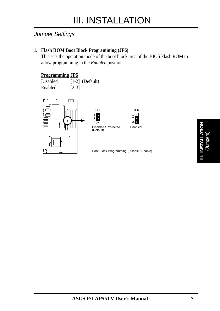### Jumper Settings

#### **1. Flash ROM Boot Block Programming (JP6)**

This sets the operation mode of the boot block area of the BIOS Flash ROM to allow programming in the *Enabled* position.

### **Programming JP6**

| Disabled | $[1-2]$ (Default) |
|----------|-------------------|
| Enabled  | $[2-3]$           |





Disabled / Protected (Default)

 $1\sqrt{q}$ 2 × 3

Enabled

Boot Block Programming (Disable / Enable)

**III. INSTALLATION** (Jumpers)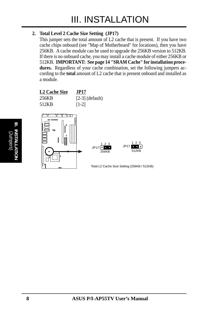### **2. Total Level 2 Cache Size Setting (JP17)**

This jumper sets the total amount of L2 cache that is present. If you have two cache chips onboard (see "Map of Motherboard" for locations), then you have 256KB. A cache module can be used to upgrade the 256KB version to 512KB. If there is no onboard cache, you may install a cache module of either 256KB or 512KB. **IMPORTANT: See page 14 "SRAM Cache" for installation procedures.** Regardless of your cache combination, set the following jumpers according to the **total** amount of L2 cache that is present onboard and installed as a module.



(Jumpers) **III. INSTALLATION**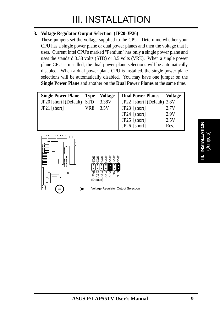### **3. Voltage Regulator Output Selection (JP20-JP26)**

These jumpers set the voltage supplied to the CPU. Determine whether your CPU has a single power plane or dual power planes and then the voltage that it uses. Current Intel CPU's marked "Pentium" has only a single power plane and uses the standard 3.38 volts (STD) or 3.5 volts (VRE). When a single power plane CPU is installed, the dual power plane selections will be automatically disabled. When a dual power plane CPU is installed, the single power plane selections will be automatically disabled. You may have one jumper on the **Single Power Plane** and another on the **Dual Power Planes** at the same time.

| <b>Single Power Plane</b>  | <b>Type</b> | <b>Voltage</b> | <b>Dual Power Planes</b>                     | <b>Voltage</b> |
|----------------------------|-------------|----------------|----------------------------------------------|----------------|
| JP20 [short] (Default) STD |             | 3.38V          | JP22 [short] (Default) 2.8V                  |                |
| $JP21$ [short]             | <b>VRE</b>  | 3.5V           | JP23 [short]                                 | 2.7V           |
|                            |             |                | JP24 [short]<br>JP25 [short]<br>JP26 [short] | 2.9V           |
|                            |             |                |                                              | 2.5V           |
|                            |             |                |                                              | Res.           |





Voltage Regulator Output Selection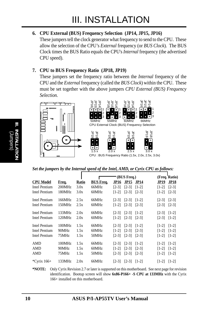### **6. CPU External (BUS) Frequency Selection (JP14, JP15, JP16)**

These jumpers tell the clock generator what frequency to send to the CPU. These allow the selection of the CPU's *External* frequency (or *BUS Clock*). The BUS Clock times the BUS Ratio equals the CPU's *Internal* frequency (the advertised CPU speed).

### **7. CPU to BUS Frequency Ratio (JP18, JP19)**

These jumpers set the frequency ratio between the *Internal* frequency of the CPU and the *External* frequency (called the *BUS Clock*) within the CPU. These must be set together with the above jumpers *CPU External (BUS) Frequency Selection.*



#### *Set the jumpers by the Internal speed of the Intel, AMD, or Cyrix CPU as follows:*

|                  |        |              |                  |             | (BUS Freq.) |             |             | (Freq. Ratio) |
|------------------|--------|--------------|------------------|-------------|-------------|-------------|-------------|---------------|
| <b>CPU Model</b> | Freq.  | <b>Ratio</b> | <b>BUS Freq.</b> | <b>JP16</b> | <b>JP15</b> | <b>JP14</b> | <b>JP19</b> | <b>JP18</b>   |
| Intel Pentium    | 200MHz | 3.0x         | 66MHz            | $[2-3]$     | $[2-3]$     | $[1-2]$     | $[1-2]$     | $[2-3]$       |
| Intel Pentium    | 180MHz | 3.0x         | 60MHz            | $[1-2]$     | $[2-3]$     | $[2-3]$     | $[1-2]$     | $[2-3]$       |
| Intel Pentium    | 166MHz | 2.5x         | 66MHz            | $[2-3]$     | $[2-3]$     | $[1-2]$     | $[2-3]$     | $[2-3]$       |
| Intel Pentium    | 150MHz | 2.5x         | 60MHz            | $[1-2]$     | $[2-3]$     | $[2-3]$     | $[2-3]$     | $[2-3]$       |
| Intel Pentium    | 133MHz | 2.0x         | 66MHz            | $[2-3]$     | $[2-3]$     | $[1-2]$     | $[2-3]$     | $[1-2]$       |
| Intel Pentium    | 120MHz | 2.0x         | 60MHz            | $[1-2]$     | $[2-3]$     | $12 - 31$   | $[2-3]$     | $[1-2]$       |
| Intel Pentium    | 100MHz | 1.5x         | 66MHz            | $[2-3]$     | $[2-3]$     | $[1-2]$     | $[1-2]$     | $[1-2]$       |
| Intel Pentium    | 90MHz  | 1.5x         | 60MHz            | $[1-2]$     | $[2-3]$     | $[2-3]$     | $[1-2]$     | $[1-2]$       |
| Intel Pentium    | 75MHz  | 1.5x         | 50MHz            | $[2-3]$     | $[2-3]$     | $[2-3]$     | $[1-2]$     | $[1-2]$       |
| AMD              | 100MHz | 1.5x         | 66MHz            | $[2-3]$     | $[2-3]$     | $[1-2]$     | $[1-2]$     | $[1-2]$       |
| AMD              | 90MHz  | 1.5x         | 60MHz            | $[1-2]$     | $[2-3]$     | $[2-3]$     | $[1-2]$     | $[1-2]$       |
| AMD              | 75MHz  | 1.5x         | 50MHz            | $[2-3]$     | $[2-3]$     | $[2-3]$     | $[1-2]$     | $[1-2]$       |
| $^*$ Cyrix 166+  | 133MHz | 2.0x         | 66MHz            | $[2-3]$     | $[2-3]$     | $[1-2]$     | $[1-2]$     | $[1-2]$       |

**\*NOTE:** Only Cyrix Revision 2.7 or later is supported on this motherboard. See next page for revision identification. Bootup screen will show **6x86-P166+ -S CPU at 133MHz** with the Cyrix 166+ installed on this motherboard.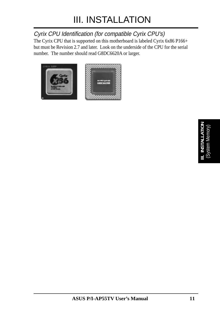Cyrix CPU Identification (for compatible Cyrix CPU's)

The Cyrix CPU that is supported on this motherboard is labeled Cyrix 6x86 P166+ but must be Revision 2.7 and later. Look on the underside of the CPU for the serial number. The number should read G8DC6620A or larger.



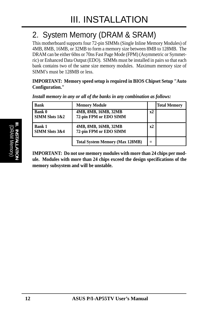# 2. System Memory (DRAM & SRAM)

This motherboard supports four 72-pin SIMMs (Single Inline Memory Modules) of 4MB, 8MB, 16MB, or 32MB to form a memory size between 8MB to 128MB. The DRAM can be either 60ns or 70ns Fast Page Mode (FPM) (Asymmetric or Symmetric) or Enhanced Data Output (EDO). SIMMs must be installed in pairs so that each bank contains two of the same size memory modules. Maximum memory size of SIMM's must be 128MB or less.

#### **IMPORTANT: Memory speed setup is required in BIOS Chipset Setup "Auto Configuration."**

| <b>Bank</b>                                | <b>Memory Module</b>                           |       | <b>Total Memory</b> |
|--------------------------------------------|------------------------------------------------|-------|---------------------|
| <b>Bank 0</b><br><b>SIMM Slots 1&amp;2</b> | 4MB, 8MB, 16MB, 32MB<br>72-pin FPM or EDO SIMM | $x^2$ |                     |
| <b>Bank 1</b><br><b>SIMM Slots 3&amp;4</b> | 4MB, 8MB, 16MB, 32MB<br>72-pin FPM or EDO SIMM | $x^2$ |                     |
|                                            | <b>Total System Memory (Max 128MB)</b>         | $=$   |                     |

*Install memory in any or all of the banks in any combination as follows:*

**IMPORTANT: Do not use memory modules with more than 24 chips per module. Modules with more than 24 chips exceed the design specifications of the memory subsystem and will be unstable.**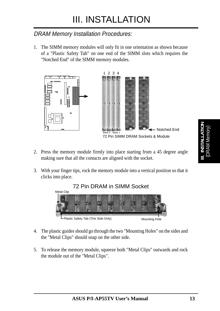### DRAM Memory Installation Procedures:

1. The SIMM memory modules will only fit in one orientation as shown because of a "Plastic Safety Tab" on one end of the SIMM slots which requires the "Notched End" of the SIMM memory modules.



- 2. Press the memory module firmly into place starting from a 45 degree angle making sure that all the contacts are aligned with the socket.
- 3. With your finger tips, rock the memory module into a vertical position so that it clicks into place.



- 4. The plastic guides should go through the two "Mounting Holes" on the sides and the "Metal Clips" should snap on the other side.
- 5. To release the memory module, squeeze both "Metal Clips" outwards and rock the module out of the "Metal Clips".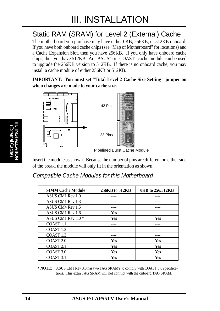## Static RAM (SRAM) for Level 2 (External) Cache

The motherboard you purchase may have either 0KB, 256KB, or 512KB onboard. If you have both onboard cache chips (see "Map of Motherboard" for locations) and a Cache Expansion Slot, then you have 256KB. If you only have onboard cache chips, then you have 512KB. An "ASUS" or "COAST" cache module can be used to upgrade the 256KB version to 512KB. If there is no onboard cache, you may install a cache module of either 256KB or 512KB.

**IMPORTANT: You must set "Total Level 2 Cache Size Setting" jumper on when changes are made to your cache size.**



Pipelined Burst Cache Module

Insert the module as shown. Because the number of pins are different on either side of the break, the module will only fit in the orientation as shown.

### Compatible Cache Modules for this Motherboard

| <b>SIMM Cache Module</b> | 256KB to 512KB | 0KB to 256/512KB |
|--------------------------|----------------|------------------|
| ASUS CM1 Rev 1.0         |                |                  |
| ASUS CM1 Rev 1.3         |                |                  |
| ASUS CM4 Rev 1.5         |                |                  |
| ASUS CM1 Rev 1.6         | <b>Yes</b>     |                  |
| ASUS CM1 Rev $3.0*$      | <b>Yes</b>     | <b>Yes</b>       |
| COAST <sub>1.1</sub>     |                |                  |
| COAST <sub>1.2</sub>     |                |                  |
| COAST <sub>1.3</sub>     |                |                  |
| COAST <sub>2.0</sub>     | <b>Yes</b>     | Yes              |
| COAST <sub>2.1</sub>     | <b>Yes</b>     | Yes              |
| COAST <sub>3.0</sub>     | <b>Yes</b>     | Yes              |
| COAST <sub>3.1</sub>     | <b>Yes</b>     | <b>Yes</b>       |

**\* NOTE:** ASUS CM1 Rev 3.0 has two TAG SRAM's to comply with COAST 3.0 specifications. This extra TAG SRAM will not conflict with the onboard TAG SRAM.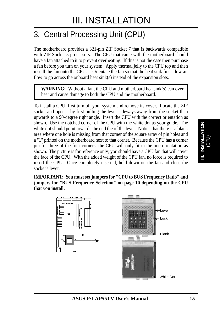# 3. Central Processing Unit (CPU)

The motherboard provides a 321-pin ZIF Socket 7 that is backwards compatible with ZIF Socket 5 processors. The CPU that came with the motherboard should have a fan attached to it to prevent overheating. If this is not the case then purchase a fan before you turn on your system. Apply thermal jelly to the CPU top and then install the fan onto the CPU. Orientate the fan so that the heat sink fins allow air flow to go across the onboard heat sink(s) instead of the expansion slots.

**WARNING:** Without a fan, the CPU and motherboard heatsink(s) can overheat and cause damage to both the CPU and the motherboard.

To install a CPU, first turn off your system and remove its cover. Locate the ZIF socket and open it by first pulling the lever sideways away from the socket then upwards to a 90-degree right angle. Insert the CPU with the correct orientation as shown. Use the notched corner of the CPU with the white dot as your guide. The white dot should point towards the end the of the lever. Notice that there is a blank area where one hole is missing from that corner of the square array of pin holes and a "1" printed on the motherboard next to that corner. Because the CPU has a corner pin for three of the four corners, the CPU will only fit in the one orientation as shown. The picture is for reference only; you should have a CPU fan that will cover the face of the CPU. With the added weight of the CPU fan, no force is required to insert the CPU. Once completely inserted, hold down on the fan and close the socket's lever.

**IMPORTANT: You must set jumpers for "CPU to BUS Frequency Ratio" and jumpers for "BUS Frequency Selection" on page 10 depending on the CPU that you install.**



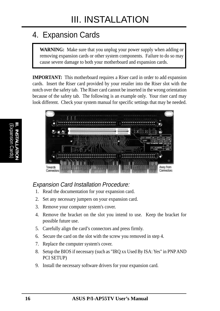# 4. Expansion Cards

**WARNING:** Make sure that you unplug your power supply when adding or removing expansion cards or other system components. Failure to do so may cause severe damage to both your motherboard and expansion cards.

**IMPORTANT:** This motherboard requires a Riser card in order to add expansion cards. Insert the Riser card provided by your retailer into the Riser slot with the notch over the safety tab. The Riser card cannot be inserted in the wrong orientation because of the safety tab. The following is an example only. Your riser card may look different. Check your system manual for specific settings that may be needed.



### Expansion Card Installation Procedure:

- 1. Read the documentation for your expansion card.
- 2. Set any necessary jumpers on your expansion card.
- 3. Remove your computer system's cover.
- 4. Remove the bracket on the slot you intend to use. Keep the bracket for possible future use.
- 5. Carefully align the card's connectors and press firmly.
- 6. Secure the card on the slot with the screw you removed in step 4.
- 7. Replace the computer system's cover.
- 8. Setup the BIOS if necessary (such as "IRQ xx Used By ISA: Yes" in PNP AND PCI SETUP)
- 9. Install the necessary software drivers for your expansion card.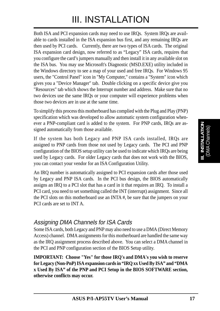# III. INSTALLATION

Both ISA and PCI expansion cards may need to use IRQs. System IRQs are available to cards installed in the ISA expansion bus first, and any remaining IRQs are then used by PCI cards. Currently, there are two types of ISA cards. The original ISA expansion card design, now referred to as "Legacy" ISA cards, requires that you configure the card's jumpers manually and then install it in any available slot on the ISA bus. You may use Microsoft's Diagnostic (MSD.EXE) utility included in the Windows directory to see a map of your used and free IRQs. For Windows 95 users, the "Control Panel" icon in "My Computer," contains a "System" icon which gives you a "Device Manager" tab. Double clicking on a specific device give you "Resources" tab which shows the Interrupt number and address. Make sure that no two devices use the same IRQs or your computer will experience problems when those two devices are in use at the same time.

To simplify this process this motherboard has complied with the Plug and Play (PNP) specification which was developed to allow automatic system configuration whenever a PNP-compliant card is added to the system. For PNP cards, IRQs are assigned automatically from those available.

If the system has both Legacy and PNP ISA cards installed, IRQs are assigned to PNP cards from those not used by Legacy cards. The PCI and PNP configuration of the BIOS setup utility can be used to indicate which IRQs are being used by Legacy cards. For older Legacy cards that does not work with the BIOS, you can contact your vendor for an ISA Configuration Utility.

An IRQ number is automatically assigned to PCI expansion cards after those used by Legacy and PNP ISA cards. In the PCI bus design, the BIOS automatically assigns an IRQ to a PCI slot that has a card in it that requires an IRQ. To install a PCI card, you need to set something called the INT (interrupt) assignment. Since all the PCI slots on this motherboard use an INTA #, be sure that the jumpers on your PCI cards are set to INT A.

### Assigning DMA Channels for ISA Cards

Some ISA cards, both Legacy and PNP may also need to use a DMA (Direct Memory Access) channel. DMA assignments for this motherboard are handled the same way as the IRQ assignment process described above. You can select a DMA channel in the PCI and PNP configuration section of the BIOS Setup utility.

**IMPORTANT: Choose "Yes" for those IRQ's and DMA's you wish to reserve for Legacy (Non-PnP) ISA expansion cards in "IRQ xx Used By ISA" and "DMA x Used By ISA" of the PNP and PCI Setup in the BIOS SOFTWARE section, otherwise conflicts may occur.**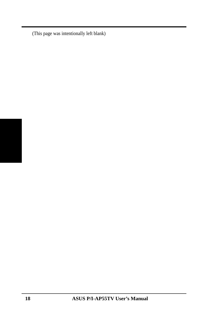(This page was intentionally left blank)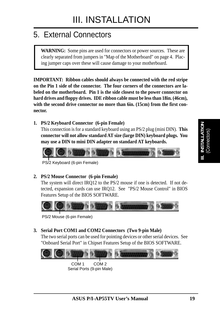## 5. External Connectors

**WARNING:** Some pins are used for connectors or power sources. These are clearly separated from jumpers in "Map of the Motherboard" on page 4. Placing jumper caps over these will cause damage to your motherboard.

**IMPORTANT: Ribbon cables should always be connected with the red stripe on the Pin 1 side of the connector. The four corners of the connectors are labeled on the motherboard. Pin 1 is the side closest to the power connector on hard drives and floppy drives. IDE ribbon cable must be less than 18in. (46cm),** with the second drive connector no more than 6in. (15cm) from the first con**nector.**

**1. PS/2 Keyboard Connector (6-pin Female)** This connection is for a standard keyboard using an PS/2 plug (mini DIN). **This connector will not allow standard AT size (large DIN) keyboard plugs. You may use a DIN to mini DIN adapter on standard AT keyboards.**



PS/2 Keyboard (6-pin Female)

### **2. PS/2 Mouse Connector (6-pin Female)**

The system will direct IRQ12 to the PS/2 mouse if one is detected. If not detected, expansion cards can use IRQ12. See "PS/2 Mouse Control" in BIOS Features Setup of the BIOS SOFTWARE.



PS/2 Mouse (6-pin Female)

### **3. Serial Port COM1 and COM2 Connectors (Two 9-pin Male)**

The two serial ports can be used for pointing devices or other serial devices. See "Onboard Serial Port" in Chipset Features Setup of the BIOS SOFTWARE.



Serial Ports (9-pin Male)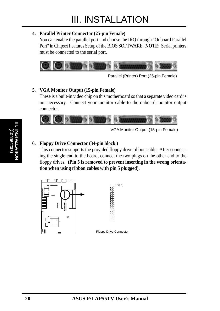#### **4. Parallel Printer Connector (25-pin Female)**

You can enable the parallel port and choose the IRQ through "Onboard Parallel Port" in Chipset Features Setup of the BIOS SOFTWARE. **NOTE**: Serial printers must be connected to the serial port.



Parallel (Printer) Port (25-pin Female)

### **5. VGA Monitor Output (15-pin Female)**

These is a built-in video chip on this motherboard so that a separate video card is not necessary. Connect your monitor cable to the onboard monitor output connector.



VGA Monitor Output (15-pin Female)

### **6. Floppy Drive Connector (34-pin block )**

This connector supports the provided floppy drive ribbon cable. After connecting the single end to the board, connect the two plugs on the other end to the floppy drives. **(Pin 5 is removed to prevent inserting in the wrong orientation when using ribbon cables with pin 5 plugged).**

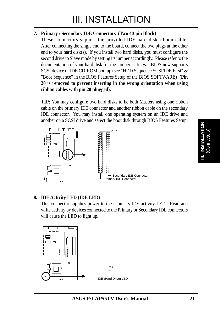### **7. Primary / Secondary IDE Connectors (Two 40-pin Block)**

These connectors support the provided IDE hard disk ribbon cable. After connecting the single end to the board, connect the two plugs at the other end to your hard disk(s). If you install two hard disks, you must configure the second drive to Slave mode by setting its jumper accordingly. Please refer to the documentation of your hard disk for the jumper settings. BIOS now supports SCSI device or IDE CD-ROM bootup (see "HDD Sequence SCSI/IDE First" & "Boot Sequence" in the BIOS Features Setup of the BIOS SOFTWARE) **(Pin 20 is removed to prevent inserting in the wrong orientation when using ribbon cables with pin 20 plugged).**

**TIP:** You may configure two hard disks to be both Masters using one ribbon cable on the primary IDE connector and another ribbon cable on the secondary IDE connector. You may install one operating system on an IDE drive and another on a SCSI drive and select the boot disk through BIOS Features Setup.



### **8. IDE Activity LED (IDE LED)**

This connector supplies power to the cabinet's IDE activity LED. Read and write activity by devices connected to the Primary or Secondary IDE connectors will cause the LED to light up.

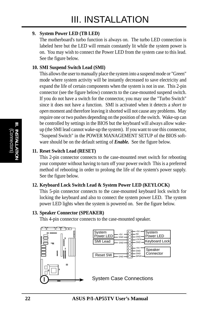### **9. System Power LED (TB LED)**

The motherboard's turbo function is always on. The turbo LED connection is labeled here but the LED will remain constantly lit while the system power is on. You may wish to connect the Power LED from the system case to this lead. See the figure below.

#### **10. SMI Suspend Switch Lead (SMI)**

This allows the user to manually place the system into a suspend mode or "Green" mode where system activity will be instantly decreased to save electricity and expand the life of certain components when the system is not in use. This 2-pin connector (see the figure below) connects to the case-mounted suspend switch. If you do not have a switch for the connector, you may use the "Turbo Switch" since it does not have a function. SMI is activated when it detects a *short to open* moment and therefore leaving it shorted will not cause any problems. May require one or two pushes depending on the position of the switch. Wake-up can be controlled by settings in the BIOS but the keyboard will always allow wakeup (the SMI lead cannot wake-up the system). If you want to use this connector, "Suspend Switch" in the POWER MANAGEMENT SETUP of the BIOS software should be on the default setting of *Enable.* See the figure below.

#### **11. Reset Switch Lead (RESET)**

This 2-pin connector connects to the case-mounted reset switch for rebooting your computer without having to turn off your power switch This is a preferred method of rebooting in order to prolong the life of the system's power supply. See the figure below.

### **12. Keyboard Lock Switch Lead & System Power LED (KEYLOCK)**

This 5-pin connector connects to the case-mounted keyboard lock switch for locking the keyboard and also to connect the system power LED. The system power LED lights when the system is powered on. See the figure below.

#### **13. Speaker Connector (SPEAKER)**

This 4-pin connector connects to the case-mounted speaker.





System Case Connections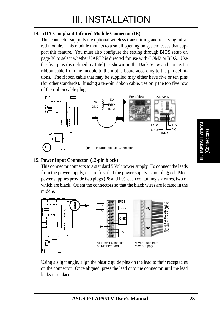### **14. IrDA-Compliant Infrared Module Connector (IR)**

This connector supports the optional wireless transmitting and receiving infrared module. This module mounts to a small opening on system cases that support this feature. You must also configure the setting through BIOS setup on page 36 to select whether UART2 is directed for use with COM2 or IrDA. Use the five pins (as defined by Intel) as shown on the Back View and connect a ribbon cable from the module to the motherboard according to the pin definitions. The ribbon cable that may be supplied may either have five or ten pins (for other standards). If using a ten-pin ribbon cable, use only the top five row of the ribbon cable plug.



### **15. Power Input Connector (12-pin block)**

This connector connects to a standard 5 Volt power supply. To connect the leads from the power supply, ensure first that the power supply is not plugged. Most power supplies provide two plugs (P8 and P9), each containing six wires, two of which are black. Orient the connectors so that the black wires are located in the middle.



Using a slight angle, align the plastic guide pins on the lead to their receptacles on the connector. Once aligned, press the lead onto the connector until the lead locks into place.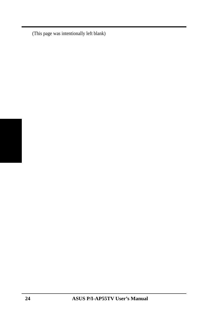(This page was intentionally left blank)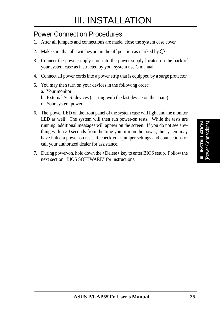### Power Connection Procedures

- 1. After all jumpers and connections are made, close the system case cover.
- 2. Make sure that all switches are in the off position as marked by  $\bigcirc$ .
- 3. Connect the power supply cord into the power supply located on the back of your system case as instructed by your system user's manual.
- 4. Connect all power cords into a power strip that is equipped by a surge protector.
- 5. You may then turn on your devices in the following order:
	- a. Your monitor
	- b. External SCSI devices (starting with the last device on the chain)
	- c. Your system power
- 6. The power LED on the front panel of the system case will light and the monitor LED as well. The system will then run power-on tests. While the tests are running, additional messages will appear on the screen. If you do not see anything within 30 seconds from the time you turn on the power, the system may have failed a power-on test. Recheck your jumper settings and connections or call your authorized dealer for assistance.
- 7. During power-on, hold down the <Delete> key to enter BIOS setup. Follow the next section "BIOS SOFTWARE" for instructions.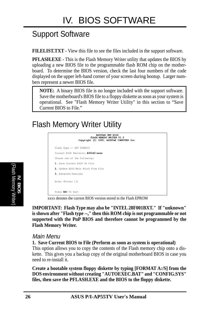# IV. BIOS SOFTWARE

## Support Software

**FILELIST.TXT -** View this file to see the files included in the support software.

**PFLASH.EXE -** This is the Flash Memory Writer utility that updates the BIOS by uploading a new BIOS file to the programmable flash ROM chip on the motherboard. To determine the BIOS version, check the last four numbers of the code displayed on the upper left-hand corner of your screen during bootup. Larger numbers represent a newer BIOS file.

**NOTE:** A binary BIOS file is no longer included with the support software. Save the motherboard's BIOS file to a floppy diskette as soon as your system is operational. See "Flash Memory Writer Utility" in this section to "Save Current BIOS to File."

# Flash Memory Writer Utility

| <b>ASUSTeK PNP BIOS</b><br>FLASH MEMORY WRITER V1.5<br>Copyright (C) 1995, ASUSTeK COMPUTER Inc. |  |  |
|--------------------------------------------------------------------------------------------------|--|--|
| Flash Type -- SST 29EE010                                                                        |  |  |
| Current BIOS Revision: #401A0-xxxx                                                               |  |  |
| Choose one of the following:                                                                     |  |  |
| 1. Save Current BIOS To File                                                                     |  |  |
| 2. Update BIOS Main Block From File                                                              |  |  |
| 3. Advanced Features                                                                             |  |  |
| Enter Choice: [1]                                                                                |  |  |
| Press ESC To Exit                                                                                |  |  |

xxxx denotes the current BIOS version stored in the Flash EPROM

**IMPORTANT: Flash Type may also be "INTEL 28F001BXT." If "unknown" is shown after "Flash type --," then this ROM chip is not programmable or not supported with the PnP BIOS and therefore cannot be programmed by the Flash Memory Writer.**

### Main Menu

**1. Save Current BIOS to File (Perform as soon as system is operational)** This option allows you to copy the contents of the Flash memory chip onto a diskette. This gives you a backup copy of the original motherboard BIOS in case you need to re-install it.

**Create a bootable system floppy diskette by typing [FORMAT A:/S] from the DOS environment without creating "AUTOEXEC.BAT" and "CONFIG.SYS" files, then save the PFLASH.EXE and the BIOS to the floppy diskette.**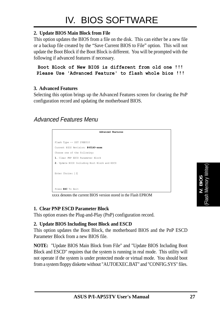#### **2. Update BIOS Main Block from File**

This option updates the BIOS from a file on the disk. This can either be a new file or a backup file created by the "Save Current BIOS to File" option. This will not update the Boot Block if the Boot Block is different. You will be prompted with the following if advanced features if necessary.

```
Boot Block of New BIOS is different from old one !!!
Please Use 'Advanced Feature' to flash whole bios !!!
```
#### **3. Advanced Features**

Selecting this option brings up the Advanced Features screen for clearing the PnP configuration record and updating the motherboard BIOS.

### Advanced Features Menu

| Advanced Features                            |  |
|----------------------------------------------|--|
|                                              |  |
| Flash Type -- SST 29EE010                    |  |
| Current BIOS Revision: #401A0-xxxx           |  |
| Choose one of the following:                 |  |
| 1. Clear PNP ESCD Parameter Block            |  |
| 2. Update BIOS Including Boot Block and ESCD |  |
|                                              |  |
| Enter Choice: [2]                            |  |
|                                              |  |
|                                              |  |
| Press ESC To Exit                            |  |

xxxx denotes the current BIOS version stored in the Flash EPROM

### **1. Clear PNP ESCD Parameter Block**

This option erases the Plug-and-Play (PnP) configuration record.

### **2. Update BIOS Including Boot Block and ESCD**

This option updates the Boot Block, the motherboard BIOS and the PnP ESCD Parameter Block from a new BIOS file.

**NOTE:** "Update BIOS Main Block from File" and "Update BIOS Including Boot Block and ESCD" requires that the system is running in real mode. This utility will not operate if the system is under protected mode or virtual mode. You should boot from a system floppy diskette without "AUTOEXEC.BAT" and "CONFIG.SYS" files.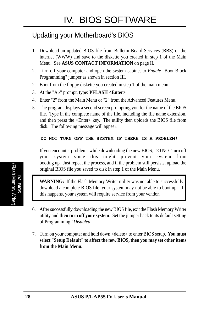## Updating your Motherboard's BIOS

- 1. Download an updated BIOS file from Bulletin Board Services (BBS) or the internet (WWW) and save to the diskette you created in step 1 of the Main Menu. See **ASUS CONTACT INFORMATION** on page II.
- 2. Turn off your computer and open the system cabinet to *Enable* "Boot Block Programming" jumper as shown in section III.
- 2. Boot from the floppy diskette you created in step 1 of the main menu.
- 3. At the "A:\" prompt, type: **PFLASH <Enter>**
- 4. Enter "2" from the Main Menu or "2" from the Advanced Features Menu.
- 5. The program displays a second screen prompting you for the name of the BIOS file. Type in the complete name of the file, including the file name extension, and then press the <Enter> key. The utility then uploads the BIOS file from disk. The following message will appear:

#### **DO NOT TURN OFF THE SYSTEM IF THERE IS A PROBLEM!**

If you encounter problems while downloading the new BIOS, DO NOT turn off your system since this might prevent your system from booting up. Just repeat the process, and if the problem still persists, upload the original BIOS file you saved to disk in step 1 of the Main Menu.

**WARNING:** If the Flash Memory Writer utility was not able to successfully download a complete BIOS file, your system may not be able to boot up. If this happens, your system will require service from your vendor.

- 6. After successfully downloading the new BIOS file, exit the Flash Memory Writer utility and **then turn off your system**. Set the jumper back to its default setting of Programming "*Disabled*."
- 7. Turn on your computer and hold down <delete> to enter BIOS setup. **You must select "Setup Default" to affect the new BIOS, then you may set other items from the Main Menu.**

**28 ASUS P/I-AP55TV User's Manual**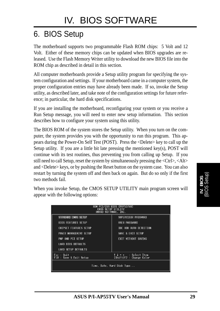# 6. BIOS Setup

The motherboard supports two programmable Flash ROM chips: 5 Volt and 12 Volt. Either of these memory chips can be updated when BIOS upgrades are released. Use the Flash Memory Writer utility to download the new BIOS file into the ROM chip as described in detail in this section.

All computer motherboards provide a Setup utility program for specifying the system configuration and settings. If your motherboard came in a computer system, the proper configuration entries may have already been made. If so, invoke the Setup utility, as described later, and take note of the configuration settings for future reference; in particular, the hard disk specifications.

If you are installing the motherboard, reconfiguring your system or you receive a Run Setup message, you will need to enter new setup information. This section describes how to configure your system using this utility.

The BIOS ROM of the system stores the Setup utility. When you turn on the computer, the system provides you with the opportunity to run this program. This appears during the Power-On Self Test (POST). Press the <Delete> key to call up the Setup utility. If you are a little bit late pressing the mentioned key(s), POST will continue with its test routines, thus preventing you from calling up Setup. If you still need to call Setup, reset the system by simultaneously pressing the  $\langle \text{Ctrl} \rangle$ ,  $\langle \text{Alt} \rangle$ and <Delete> keys, or by pushing the Reset button on the system case. You can also restart by turning the system off and then back on again. But do so only if the first two methods fail.

| ROM PCI/ISA BIOS (PAP55TV0)<br>CMOS SETUP UTILITY<br>AWARD SOFTWARE, INC. |                                           |  |  |  |
|---------------------------------------------------------------------------|-------------------------------------------|--|--|--|
|                                                                           |                                           |  |  |  |
| STANDARD CMOS SETUP                                                       | SUPERVISOR PASSWORD                       |  |  |  |
| <b>BIOS FEATURES SETUP</b>                                                | USER PASSWORD                             |  |  |  |
| CHIPSET FEATURES SETUP                                                    | IDE HDD AUTO DETECTION                    |  |  |  |
| POWER MANAGEMENT SETUP                                                    | SAVE & EXTT SETUP                         |  |  |  |
| PNP AND PCT SETUP                                                         | EXIT WITHOUT SAVING                       |  |  |  |
| LOAD BIOS DEFAULTS                                                        |                                           |  |  |  |
| LOAD SETUP DEFAULTS                                                       |                                           |  |  |  |
| Esc : Quit<br><u> F10 : Save &amp; Exit Setup</u>                         | : Select Item<br>(Shift)F2 : Change Color |  |  |  |
| <u>Time, Date</u> , Hard Disk Type                                        |                                           |  |  |  |

When you invoke Setup, the CMOS SETUP UTILITY main program screen will appear with the following options:

**IV. BIOS** (BIOS Setup)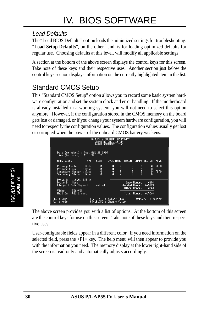### Load Defaults

The "Load BIOS Defaults" option loads the minimized settings for troubleshooting. "**Load Setup Defaults**", on the other hand, is for loading optimized defaults for regular use. Choosing defaults at this level, will modify all applicable settings.

A section at the bottom of the above screen displays the control keys for this screen. Take note of these keys and their respective uses. Another section just below the control keys section displays information on the currently highlighted item in the list.

## Standard CMOS Setup

This "Standard CMOS Setup" option allows you to record some basic system hardware configuration and set the system clock and error handling. If the motherboard is already installed in a working system, you will not need to select this option anymore. However, if the configuration stored in the CMOS memory on the board gets lost or damaged, or if you change your system hardware configuration, you will need to respecify the configuration values. The configuration values usually get lost or corrupted when the power of the onboard CMOS battery weakens.

| ROM PCI/ISA BIOS (PAP55TV0)<br>STANDARD CMOS SETUP<br>AWARD SOFTWARE. INC.                                    |                                                                                                                                                    |  |  |  |
|---------------------------------------------------------------------------------------------------------------|----------------------------------------------------------------------------------------------------------------------------------------------------|--|--|--|
| Date $(mn:dd:yy)$ : Tue, Oct 29 1996<br>Time(hh:mm:ss) : 11 : 32 : 2                                          |                                                                                                                                                    |  |  |  |
| HARD DISKS<br><b>TYPE</b><br>STZE.                                                                            | CYLS HEAD PRECOMP LANDZ SECTOR<br><b>MODE</b>                                                                                                      |  |  |  |
| Primary Master<br>: Auto<br>0000<br>Primary Slave : None<br>Secondary Master : Auto<br>Secondary Slave : None | - AUTO<br>0<br>Ø<br>Ø<br>Ø<br>Ø<br>$\tilde{\theta}$<br>$0 \qquad 0$<br>0<br>0<br>ก<br>Ø<br>ō'<br>0<br>ō<br>0<br>$\frac{0}{0}$<br>Ø.<br>- AUTO<br>Й |  |  |  |
| Drive $A : 1.44M, 3.5$ in.<br>Drive B : None<br>Floppy 3 Mode Support : Disabled                              | Base Memory: 640K<br>Extended Memory: 64512K<br>Other Memorv:<br>384K                                                                              |  |  |  |
| Video : EGA/VGA<br>Halt On : All Errors                                                                       | Total Memory: 65536K                                                                                                                               |  |  |  |
| $ESC : 0$ uit<br>↑↓・・ : Select Item →<br>$PU/PD/*/-$ : Modify<br>(Shift)F2 : Change Color<br>F1<br>Help<br>ř. |                                                                                                                                                    |  |  |  |

The above screen provides you with a list of options. At the bottom of this screen are the control keys for use on this screen. Take note of these keys and their respective uses.

User-configurable fields appear in a different color. If you need information on the selected field, press the <F1> key. The help menu will then appear to provide you with the information you need. The memory display at the lower right-hand side of the screen is read-only and automatically adjusts accordingly.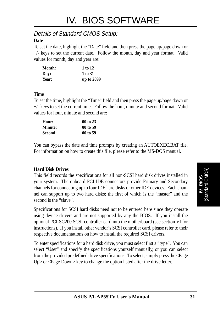## Details of Standard CMOS Setup:

#### **Date**

To set the date, highlight the "Date" field and then press the page up/page down or +/- keys to set the current date. Follow the month, day and year format. Valid values for month, day and year are:

| Month: | 1 to 12    |
|--------|------------|
| Day:   | 1 to 31    |
| Year:  | up to 2099 |

#### **Time**

To set the time, highlight the "Time" field and then press the page up/page down or +/- keys to set the current time. Follow the hour, minute and second format. Valid values for hour, minute and second are:

| Hour:   | $00$ to 23 |
|---------|------------|
| Minute: | 00 to 59   |
| Second: | 00 to 59   |

You can bypass the date and time prompts by creating an AUTOEXEC.BAT file. For information on how to create this file, please refer to the MS-DOS manual.

#### **Hard Disk Drives**

This field records the specifications for all non-SCSI hard disk drives installed in your system. The onboard PCI IDE connectors provide Primary and Secondary channels for connecting up to four IDE hard disks or other IDE devices. Each channel can support up to two hard disks; the first of which is the "master" and the second is the "slave".

Specifications for SCSI hard disks need not to be entered here since they operate using device drivers and are not supported by any the BIOS. If you install the optional PCI-SC200 SCSI controller card into the motherboard (see section VI for instructions). If you install other vendor's SCSI controller card, please refer to their respective documentations on how to install the required SCSI drivers.

To enter specifications for a hard disk drive, you must select first a "type". You can select "User" and specify the specifications yourself manually, or you can select from the provided predefined drive specifications. To select, simply press the <Page Up is or <Page Down listed after the drive letter.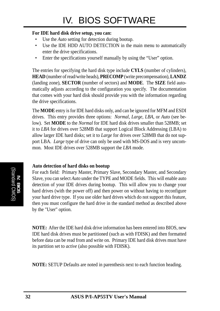#### **For IDE hard disk drive setup, you can:**

- Use the *Auto* setting for detection during bootup.
- Use the IDE HDD AUTO DETECTION in the main menu to automatically enter the drive specifications.
- Enter the specifications yourself manually by using the "User" option.

The entries for specifying the hard disk type include **CYLS** (number of cylinders), **HEAD** (number of read/write heads), **PRECOMP** (write precompensation), **LANDZ** (landing zone), **SECTOR** (number of sectors) and **MODE**. The **SIZE** field automatically adjusts according to the configuration you specify. The documentation that comes with your hard disk should provide you with the information regarding the drive specifications.

The **MODE** entry is for IDE hard disks only, and can be ignored for MFM and ESDI drives. This entry provides three options: *Normal, Large, LBA*, or *Auto* (see below). Set **MODE** to the *Normal* for IDE hard disk drives smaller than 528MB; set it to *LBA* for drives over 528MB that support Logical Block Addressing (LBA) to allow larger IDE hard disks; set it to *Large* for drives over 528MB that do not support LBA. *Large* type of drive can only be used with MS-DOS and is very uncommon. Most IDE drives over 528MB support the *LBA* mode.

#### **Auto detection of hard disks on bootup**

For each field: Primary Master, Primary Slave, Secondary Master, and Secondary Slave, you can select *Auto* under the TYPE and MODE fields. This will enable auto detection of your IDE drives during bootup. This will allow you to change your hard drives (with the power off) and then power on without having to reconfigure your hard drive type. If you use older hard drives which do not support this feature, then you must configure the hard drive in the standard method as described above by the "User" option.

**NOTE:** After the IDE hard disk drive information has been entered into BIOS, new IDE hard disk drives must be partitioned (such as with FDISK) and then formatted before data can be read from and write on. Primary IDE hard disk drives must have its partition set to *active* (also possible with FDISK).

**NOTE:** SETUP Defaults are noted in parenthesis next to each function heading.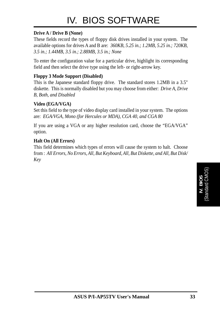# IV. BIOS SOFTWARE

#### **Drive A / Drive B (None)**

These fields record the types of floppy disk drives installed in your system. The available options for drives A and B are: *360KB, 5.25 in.; 1.2MB, 5.25 in.; 720KB, 3.5 in.; 1.44MB, 3.5 in.; 2.88MB, 3.5 in.; None*

To enter the configuration value for a particular drive, highlight its corresponding field and then select the drive type using the left- or right-arrow key.

#### **Floppy 3 Mode Support (Disabled)**

This is the Japanese standard floppy drive. The standard stores 1.2MB in a 3.5" diskette. This is normally disabled but you may choose from either: *Drive A, Drive B, Both, and Disabled*

#### **Video (EGA/VGA)**

Set this field to the type of video display card installed in your system. The options are: *EGA/VGA, Mono (for Hercules or MDA), CGA 40, and CGA 80*

If you are using a VGA or any higher resolution card, choose the "EGA/VGA" option.

#### **Halt On (All Errors)**

This field determines which types of errors will cause the system to halt. Choose from : *All Errors, No Errors, All, But Keyboard, All, But Diskette, and All, But Disk/ Key*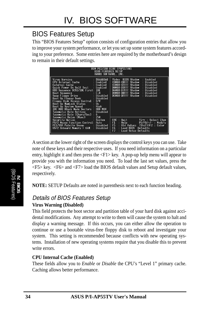# BIOS Features Setup

This "BIOS Features Setup" option consists of configuration entries that allow you to improve your system performance, or let you set up some system features according to your preference. Some entries here are required by the motherboard's design to remain in their default settings.

| <b>BIOS FEATURES SETUP</b><br>AWARD SOFTWARE. INC.                                                                                                                                                                                                                                                                                                                                                                                                                                                                                                         | ROM PCI/ISA BIOS (PAP55TV0)                                                                                                                                                                                                                            |
|------------------------------------------------------------------------------------------------------------------------------------------------------------------------------------------------------------------------------------------------------------------------------------------------------------------------------------------------------------------------------------------------------------------------------------------------------------------------------------------------------------------------------------------------------------|--------------------------------------------------------------------------------------------------------------------------------------------------------------------------------------------------------------------------------------------------------|
| Virus Warning <b>Armi</b><br>$\blacksquare$ : Disabled<br>CPU Internal Cache : Enabled<br>External Cache in the state of the Enabled<br>Quick Power On Self Test : Enabled<br>HDD Sequence SCSI/IDE First: IDE<br>$: C.A$ . The set of $\mathcal{C}$<br>Boot Sequence<br>Swap Floppy Drive<br>: Disabled<br>Boot Up Floppy Seek : Disabled<br>Floppy Disk Access Control: R/W<br>Boot Up NumLock Status : On<br>Boot Up System Speed : High<br>IDE HDD Block Mode Sectors : HDD MAX<br>Typematic Rate Setting : Disabled<br>Tupematic Rate (Chars/Sec) : 6 | Video BIOS Shadow<br>: Enabled<br>C8000-CBFFF Shadow<br>: Disabled<br>CC000-CFFFF Shadow<br>: Disabled<br>D0000-D3FFF Shadow<br>: Disabled<br>D4000-D7FFF Shadow<br>: Disabled<br>D8000-DBFFF Shadow<br>: Disabled<br>DC000-DFFFF Shadow<br>: Disabled |
| [ypematic_Delay (Msec) ___: 250<br>Security Option : System<br>PS/2 Mouse Function Control: Auto<br>PCI/VGA Palette Snoop : Disabled<br>$0S/2$ Onboard Memory $> 64M$<br>: Disabled                                                                                                                                                                                                                                                                                                                                                                        | ESC : Quit 1++ : Select Item<br>F1<br>: Help $PU/PD/+/-$ : Modify<br>F5<br>: Old Values (Shift)F2 : Color<br>F6<br>: Load BIOS<br>Defaults<br>F7.<br>: Load Setup Defaults                                                                             |

A section at the lower right of the screen displays the control keys you can use. Take note of these keys and their respective uses. If you need information on a particular entry, highlight it and then press the  $\langle F1 \rangle$  key. A pop-up help menu will appear to provide you with the information you need. To load the last set values, press the <F5> key. <F6> and <F7> load the BIOS default values and Setup default values, respectively.

**NOTE:** SETUP Defaults are noted in parenthesis next to each function heading.

## Details of BIOS Features Setup

#### **Virus Warning (Disabled)**

This field protects the boot sector and partition table of your hard disk against accidental modifications. Any attempt to write to them will cause the system to halt and display a warning message. If this occurs, you can either allow the operation to continue or use a bootable virus-free floppy disk to reboot and investigate your system. This setting is recommended because conflicts with new operating systems. Installation of new operating systems require that you disable this to prevent write errors.

#### **CPU Internal Cache (Enabled)**

These fields allow you to *Enable* or *Disable* the CPU's "Level 1" primary cache. Caching allows better performance.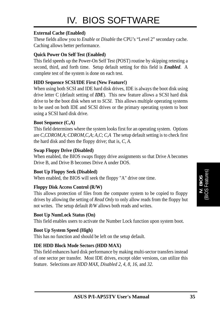#### **External Cache (Enabled)**

These fields allow you to *Enable* or *Disable* the CPU's "Level 2" secondary cache. Caching allows better performance.

#### **Quick Power On Self Test (Enabled)**

This field speeds up the Power-On Self Test (POST) routine by skipping retesting a second, third, and forth time. Setup default setting for this field is *Enabled*. A complete test of the system is done on each test.

#### **HDD Sequence SCSI/IDE First (New Feature!)**

When using both SCSI and IDE hard disk drives, IDE is always the boot disk using drive letter C (default setting of *IDE*). This new feature allows a SCSI hard disk drive to be the boot disk when set to *SCSI*. This allows multiple operating systems to be used on both IDE and SCSI drives or the primary operating system to boot using a SCSI hard disk drive.

#### **Boot Sequence (C,A)**

This field determines where the system looks first for an operating system. Options are *C,CDROM,A*; *CDROM,C,A*; *A,C*; *C,A* The setup default setting is to check first the hard disk and then the floppy drive; that is, *C, A*.

#### **Swap Floppy Drive (Disabled)**

When enabled, the BIOS swaps floppy drive assignments so that Drive A becomes Drive B, and Drive B becomes Drive A under DOS.

#### **Boot Up Floppy Seek (Disabled)**

When enabled, the BIOS will seek the floppy "A" drive one time.

#### **Floppy Disk Access Control (R/W)**

This allows protection of files from the computer system to be copied to floppy drives by allowing the setting of *Read Only* to only allow reads from the floppy but not writes. The setup default *R/W* allows both reads and writes.

#### **Boot Up NumLock Status (On)**

This field enables users to activate the Number Lock function upon system boot.

#### **Boot Up System Speed (High)**

This has no function and should be left on the setup default.

#### **IDE HDD Block Mode Sectors (HDD MAX)**

This field enhances hard disk performance by making multi-sector transfers instead of one sector per transfer. Most IDE drives, except older versions, can utilize this feature. Selections are *HDD MAX, Disabled 2, 4, 8, 16,* and *32*.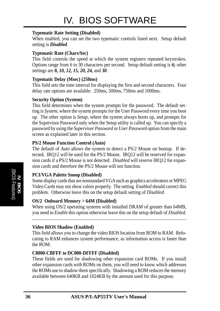#### **Typematic Rate Setting (Disabled)**

When enabled, you can set the two typematic controls listed next. Setup default setting is *Disabled*.

#### **Typematic Rate (Chars/Sec)**

This field controls the speed at which the system registers repeated keystrokes. Options range from 6 to 30 characters per second. Setup default setting is *6;* other settings are *8, 10, 12, 15, 20, 24,* and *30*.

#### **Typematic Delay (Msec) (250ms)**

This field sets the time interval for displaying the first and second characters. Four delay rate options are available: 250ms, 500ms, 750ms and 1000ms.

#### **Security Option (System)**

This field determines when the system prompts for the password. The default setting is *System*, where the system prompts for the User Password every time you boot up. The other option is *Setup*, where the system always boots up, and prompts for the Supervisor Password only when the Setup utility is called up. You can specify a password by using the *Supervisor Password* or *User Password* option from the main screen as explained later in this section.

#### **PS/2 Mouse Function Control (Auto)**

The default of *Auto* allows the system to detect a PS/2 Mouse on bootup. If detected, IRQ12 will be used for the PS/2 Mouse. IRQ12 will be reserved for expansion cards if a PS/2 Mouse is not detected. *Disabled* will reserve IRQ12 for expansion cards and therefore the PS/2 Mouse will not function.

#### **PCI/VGA Palette Snoop (Disabled)**

Some display cards that are nonstandard VGA such as graphics accelerators or MPEG Video Cards may not show colors properly. The setting *Enabled* should correct this problem. Otherwise leave this on the setup default setting of *Disabled*.

#### **OS/2 Onboard Memory > 64M (Disabled)**

When using OS/2 operating systems with installed DRAM of greater than 64MB, you need to *Enable* this option otherwise leave this on the setup default of *Disabled*. ......................................................................................................................................

#### **Video BIOS Shadow (Enabled)**

This field allows you to change the video BIOS location from ROM to RAM. Relocating to RAM enhances system performance, as information access is faster than the ROM.

#### **C8000-CBFFF to DC000-DFFFF (Disabled)**

These fields are used for shadowing other expansion card ROMs. If you install other expansion cards with ROMs on them, you will need to know which addresses the ROMs use to shadow them specifically. Shadowing a ROM reduces the memory available between 640KB and 1024KB by the amount used for this purpose.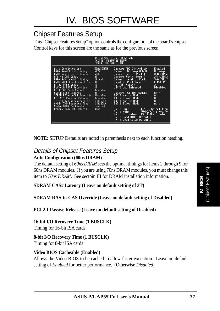# Chipset Features Setup

This "Chipset Features Setup" option controls the configuration of the board's chipset. Control keys for this screen are the same as for the previous screen.

| ROM PCI/ISA BIOS (PAP55TV0)<br>CHIPSET FEATURES SETUP<br>AWARD SOFTWARE, INC.                                                                                                                                                                                                                                                                                                                                                                                                                                                                                                                                       |                                                                                                                                                                                                                                                                                                                                                                                                                                                                                                 |  |  |  |
|---------------------------------------------------------------------------------------------------------------------------------------------------------------------------------------------------------------------------------------------------------------------------------------------------------------------------------------------------------------------------------------------------------------------------------------------------------------------------------------------------------------------------------------------------------------------------------------------------------------------|-------------------------------------------------------------------------------------------------------------------------------------------------------------------------------------------------------------------------------------------------------------------------------------------------------------------------------------------------------------------------------------------------------------------------------------------------------------------------------------------------|--|--|--|
| Auto Configuration : 60ns DRAM<br>DRAM Read Burst Timing : x222<br>DRAM Write Burst Timing : x333<br>$\frac{1}{2}$ $\frac{1}{2}$ $\frac{1}{2}$ $\frac{1}{2}$ $\frac{31}{2}$ $\frac{1}{2}$<br>RAS to CAS Delay<br>DRAM R/W Leadoff Timing : 10T/6T<br>DRAM RAS# Precharge Time : 3T<br>$MR$ to RAS# Delay $\qquad$ : 1T<br>$Refresh$ RAS# Assertion : $4T$<br>Fast EDO Path Select : Disabled<br>SDRAM CAS# Latency : 3T<br>SDRAM RAS-to-CAS Override: Disabled<br>PCI 2.1 Passive Release : Disabled<br>16-bit I/O Recovery Time : 1 BUSCLK<br>8-bit I/O Recovery Time : 1 BUSCLK<br>Video BIOS Cacheable : Enabled | Onboard FDC Controller<br>: Enabled<br>Onboard FDC Swap A & B<br>: No Swap<br>: 3F8H/IRO4<br>Onboard Serial Port 1<br>Onboard Serial Port 2 : 2F8H/IRQ3<br>Onboard Parallel Port<br>: 378H/IRO7<br>Parallel Port Mode<br>ECP DMA Select<br>$: ECP + EPP$<br>3<br>÷.<br>UART2 Use Infrared<br>: Disabled<br>Onboard PCI IDE Enable<br>: Both<br>IDE 0 Master Mode<br>: Auto<br>IDE 0 Slave Mode <b>South</b><br>: Auto<br>IDE 1 Master Mode <b>Artic</b><br>: Auto<br>IDE 1 Slave Mode<br>: Auto |  |  |  |
| Memory Hole At Address<br>: None                                                                                                                                                                                                                                                                                                                                                                                                                                                                                                                                                                                    | <b>ESC</b><br>: Quit<br>–1↓→← : Select Item<br>F <sub>1</sub><br>$: \mathsf{Help}$<br>PU/PD/+/- : Modify<br>F5 : Old Values (Shift)F2 : Color<br>F6<br>: Load BIOS Defaults<br>F7<br>: Load Setup Defaults                                                                                                                                                                                                                                                                                      |  |  |  |

**NOTE:** SETUP Defaults are noted in parenthesis next to each function heading.

#### Details of Chipset Features Setup **Auto Configuration (60ns DRAM)**

The default setting of *60ns DRAM* sets the optimal timings for items 2 through 9 for 60ns DRAM modules. If you are using 70ns DRAM modules, you must change this item to *70ns DRAM*. See sectoin III for DRAM installation information.

**SDRAM CAS# Latency (Leave on default setting of 3T)**

**SDRAM RAS-to-CAS Override (Leave on default setting of Disabled)**

**PCI 2.1 Passive Release (Leave on default setting of Disabled)**

**16-bit I/O Recovery Time (1 BUSCLK)** Timing for 16-bit ISA cards

**8-bit I/O Recovery Time (1 BUSCLK)** Timing for 8-bit ISA cards

#### **Video BIOS Cacheable (Enabled)**

Allows the Video BIOS to be cached to allow faster execution. Leave on default setting of *Enabled* for better performance. (Otherwise *Disabled*)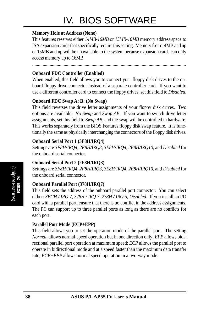# IV. BIOS SOFTWARE

#### **Memory Hole at Address (None)**

This features reserves either *14MB-16MB* or *15MB-16MB* memory address space to ISA expansion cards that specifically require this setting. Memory from 14MB and up or 15MB and up will be unavailable to the system because expansion cards can only access memory up to 16MB.

....................................................................................................................................

#### **Onboard FDC Controller (Enabled)**

When enabled, this field allows you to connect your floppy disk drives to the onboard floppy drive connector instead of a separate controller card. If you want to use a different controller card to connect the floppy drives, set this field to *Disabled*.

#### **Onboard FDC Swap A: B: (No Swap)**

This field reverses the drive letter assignments of your floppy disk drives. Two options are available: *No Swap* and *Swap AB*. If you want to switch drive letter assignments, set this field to *Swap AB*, and the swap will be controlled in hardware. This works separately from the BIOS Features floppy disk swap feature. It is functionally the same as physically interchanging the connectors of the floppy disk drives.

#### **Onboard Serial Port 1 (3F8H/IRQ4)**

Settings are *3F8H/IRQ4*, *2F8H/IRQ3, 3E8H/IRQ4, 2E8H/IRQ10,* and *Disabled* for the onboard serial connector.

#### **Onboard Serial Port 2 (2F8H/IRQ3)**

Settings are *3F8H/IRQ4, 2F8H/IRQ3*, *3E8H/IRQ4, 2E8H/IRQ10,* and *Disabled* for the onboard serial connector.

#### **Onboard Parallel Port (378H/IRQ7)**

This field sets the address of the onboard parallel port connector. You can select either: *3BCH / IRQ 7, 378H / IRQ 7, 278H / IRQ 5, Disabled.* If you install an I/O card with a parallel port, ensure that there is no conflict in the address assignments. The PC can support up to three parallel ports as long as there are no conflicts for each port.

#### **Parallel Port Mode (ECP+EPP)**

This field allows you to set the operation mode of the parallel port. The setting *Normal*, allows normal-speed operation but in one direction only; *EPP* allows bidirectional parallel port operation at maximum speed; *ECP* allows the parallel port to operate in bidirectional mode and at a speed faster than the maximum data transfer rate; *ECP+EPP* allows normal speed operation in a two-way mode.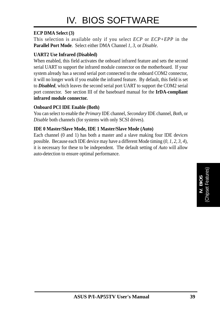#### **ECP DMA Select (3)**

This selection is available only if you select *ECP* or *ECP+EPP* in the **Parallel Port Mode**. Select either DMA Channel *1, 3*, or *Disable*.

#### **UART2 Use Infrared (Disabled)**

When enabled, this field activates the onboard infrared feature and sets the second serial UART to support the infrared module connector on the motherboard. If your system already has a second serial port connected to the onboard COM2 connector, it will no longer work if you enable the infrared feature. By default, this field is set to *Disabled*, which leaves the second serial port UART to support the COM2 serial port connector. See section III of the baseboard manual for the **IrDA-compliant infrared module connector.**

#### **Onboard PCI IDE Enable (Both)**

You can select to enable the *Primary* IDE channel, *Secondary* IDE channel, *Both*, or *Disable* both channels (for systems with only SCSI drives).

#### **IDE 0 Master/Slave Mode, IDE 1 Master/Slave Mode (Auto)**

Each channel (0 and 1) has both a master and a slave making four IDE devices possible. Because each IDE device may have a different Mode timing (*0, 1, 2, 3, 4*), it is necessary for these to be independent. The default setting of *Auto* will allow auto-detection to ensure optimal performance.

> **IV. BIOS** (Chipset Features)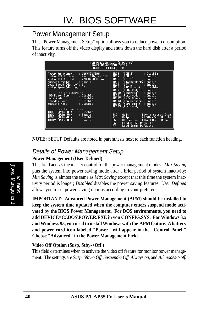# Power Management Setup

This "Power Management Setup" option allows you to reduce power consumption. This feature turns off the video display and shuts down the hard disk after a period of inactivity.

| POWER MANAGEMENT SETUP<br>AWARD SOFTWARE, INC.                                                                                                                                                                                                                                                                     | ROM PCI/ISA BIOS (PAP55TV0)                                                                                                                                                                                                                                                                                                                                                                                                                                  |
|--------------------------------------------------------------------------------------------------------------------------------------------------------------------------------------------------------------------------------------------------------------------------------------------------------------------|--------------------------------------------------------------------------------------------------------------------------------------------------------------------------------------------------------------------------------------------------------------------------------------------------------------------------------------------------------------------------------------------------------------------------------------------------------------|
| : User Define<br>Power Management -<br>Video Off Option : Susp, Stby $\rightarrow$ Off<br>Video Off Method : V/H SYNC+Blank<br>Suspend Switch : Enable<br>Doze $Speed$ (div by): $8$<br>Stdby Speed(div by): 32<br>** PM Timers **<br>HDD Power Down     : Disable<br>Suspend Mode<br>: Disable<br>** PM Events ** | IR <sub>03</sub><br>(CM 2)<br>: Disable<br>(COM 1)<br>IRO4<br>: Enable<br>(LPT 2) : Enable<br><b>IR05</b><br>(Floppy Disk): Enable<br>IR06<br>(LPT 1)<br>IRO7<br><b>Enable</b> : Enable<br>(RTC Alarm) : Disable<br>IR08<br>$(\text{IR02 Redir})$ : Enable<br>IRO9 I<br>IRO10 (Reserved) : Enable<br>IRQ11 (Reserved) : Enable<br>IR012 (PS/2 Mouse) : Enable<br>IR013 (Coprocessor): Enable<br>IR014 (Hard Disk) : Enable<br>IRO15 (Reserved) –<br>: Enable |
| IRO3<br>(Wake-Up) : Disable<br>IRO4<br>(Wake-Up) : Enable<br>(Wake-Up) : Disable<br>IR08<br>IRO12 (Wake-Up)<br>: Enable                                                                                                                                                                                            | $\textsf{ESC}$ : Ouit<br>–↑↓→← : Select Item<br>F1<br>$\pm$ Help $\overline{\phantom{a}}$<br>PU/PD/+/- : Modify<br>F <sub>5</sub><br>: Old Values (Shift)F2 : Color<br>F6<br>: Load BIOS Defaults<br>F7.<br>: Load Setup Defaults                                                                                                                                                                                                                            |

**NOTE:** SETUP Defaults are noted in parenthesis next to each function heading.

#### Details of Power Management Setup **Power Management (User Defined)**

This field acts as the master control for the power management modes. *Max Saving* puts the system into power saving mode after a brief period of system inactivity; *Min Saving* is almost the same as *Max Saving* except that this time the system inactivity period is longer; *Disabled* disables the power saving features; *User Defined* allows you to set power saving options according to your preference.

**IMPORTANT: Advanced Power Management (APM) should be installed to keep the system time updated when the computer enters suspend mode activated by the BIOS Power Management. For DOS environments, you need to add DEVICE=C:\DOS\POWER.EXE in you CONFIG.SYS. For Windows 3.x and Windows 95, you need to install Windows with the APM feature. A battery and power cord icon labeled "Power" will appear in the "Control Panel." Choose "Advanced" in the Power Management Field.**

#### **Video Off Option (Susp, Stby->Off )**

This field determines when to activate the video off feature for monitor power management. The settings are *Susp, Stby->Off, Suspend->Off, Always on,* and *All modes->off.*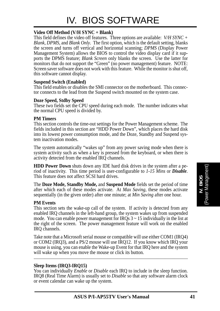#### **Video Off Method (V/H SYNC + Blank)**

This field defines the video off features. Three options are available: *V/H SYNC + Blank, DPMS,* and *Blank Only*. The first option, which is the default setting, blanks the screen and turns off vertical and horizontal scanning; *DPMS* (Display Power Management System) allows the BIOS to control the video display card if it supports the DPMS feature; *Blank Screen* only blanks the screen. Use the latter for monitors that do not support the "Green" (no power management) feature. NOTE: Screen saver software does not work with this feature. While the monitor is shut off, this software cannot display.

#### **Suspend Switch (Enabled)**

This field enables or disables the SMI connector on the motherboard. This connector connects to the lead from the Suspend switch mounted on the system case.

#### **Doze Speed, Stdby Speed**

These two fields set the CPU speed during each mode. The number indicates what the normal CPU speed is divided by.

#### **PM Timers**

This section controls the time-out settings for the Power Management scheme. The fields included in this section are "HDD Power Down", which places the hard disk into its lowest power consumption mode, and the Doze, Standby and Suspend system inactivation modes.

The system automatically "wakes up" from any power saving mode when there is system activity such as when a key is pressed from the keyboard, or when there is activity detected from the enabled IRQ channels.

**HDD Power Down** shuts down any IDE hard disk drives in the system after a period of inactivity. This time period is user-configurable to *1-15 Mins* or *Disable*. This feature does not affect SCSI hard drives.

The **Doze Mode, Standby Mode,** and **Suspend Mode** fields set the period of time after which each of these modes activate. At *Max Saving*, these modes activate sequentially (in the given order) after one minute; at *Min Saving* after one hour.

#### **PM Events**

This section sets the wake-up call of the system. If activity is detected from any enabled IRQ channels in the left-hand group, the system wakes up from suspended mode. You can enable power management for IRQs  $3 \sim 15$  individually in the list at the right of the screen. The power management feature will work on the enabled IRQ channels.

Take note that a Microsoft serial mouse or compatible will use either COM1 (IRQ4) or COM2 (IRQ3), and a PS/2 mouse will use IRQ12. If you know which IRQ your mouse is using, you can enable the Wake-up Event for that IRQ here and the system will wake up when you move the mouse or click its button.

.......................................................................................................................................

#### **Sleep Items (IRQ3-IRQ15)**

You can individually *Enable* or *Disable* each IRQ to include in the sleep function. IRQ8 (Real Time Alarm) is usually set to *Disable* so that any software alarm clock or event calendar can wake up the system.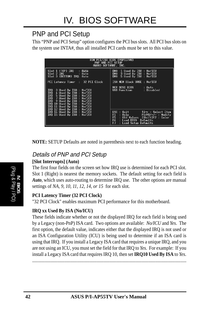## PNP and PCI Setup

This "PNP and PCI Setup" option configures the PCI bus slots. All PCI bus slots on the system use INTA#, thus all installed PCI cards must be set to this value.

| ROM PCI/ISA BIOS (PAP55TV0)<br>PNP AND PCI SETUP<br>AWARD SOFTWARE. INC.                                                                                                                                                                                         |                                                                                                                                                     |  |  |
|------------------------------------------------------------------------------------------------------------------------------------------------------------------------------------------------------------------------------------------------------------------|-----------------------------------------------------------------------------------------------------------------------------------------------------|--|--|
| $Slot 1$ (TOP) $IRQ$ : Auto<br>Slot 3 (BOTTOM) IRQ: Auto                                                                                                                                                                                                         | 1 Used By ISA : No/ICU<br>DMA.<br>DMA.<br>3 Used By ISA : No/ICU<br>DMA.<br>5 Used By ISA : No/ICU                                                  |  |  |
| PCI Latency Timer : 32 PCI Clock                                                                                                                                                                                                                                 | ISA MEM Block BASE : No/ICU                                                                                                                         |  |  |
| IRQ<br>3 Used By ISA : No/ICU<br>IR <sub>0</sub><br>4 Used By ISA : No/ICU<br>IR <sub>0</sub><br>5 Used By ISA : No/ICU<br>IR <sub>0</sub><br>7 Used By ISA : No/ICU<br>IRQ 9 Used By ISA : No/ICU<br>IRQ 10 Used By ISA : No/ICU<br>IRO 11 Used By ISA : No/ICU | NCR SCSI BIOS : Auto<br>: Disabled<br>USB Function                                                                                                  |  |  |
| IRO 12 Used By ISA : No/ICU<br>IRO 14 Used By ISA : No/ICU<br>IRQ 15 Used By ISA: No/ICU                                                                                                                                                                         | $ESC$ : Quit<br>–↑↓→← : Select Item<br>F1<br>: Old Values (Shift)F2 : Color<br>F5 I<br>F6 I<br>: Load BIOS Defaults<br>: Load Setup Defaults<br>F7. |  |  |

**NOTE:** SETUP Defaults are noted in parenthesis next to each function heading.

## Details of PNP and PCI Setup

#### **[Slot Interrupts] (Auto)**

The first four fields on the screen set how IRQ use is determined for each PCI slot. Slot 1 (Right) is nearest the memory sockets. The default setting for each field is *Auto*, which uses auto-routing to determine IRQ use. The other options are manual settings of *NA, 9, 10, 11, 12, 14, or 15* for each slot.

#### **PCI Latency Timer (32 PCI Clock)**

"32 PCI Clock" enables maximum PCI performance for this motherboard.

#### **IRQ xx Used By ISA (No/ICU)**

These fields indicate whether or not the displayed IRQ for each field is being used by a Legacy (non-PnP) ISA card. Two options are available: *No/ICU* and *Yes*. The first option, the default value, indicates either that the displayed IRQ is not used or an ISA Configuration Utility (ICU) is being used to determine if an ISA card is using that IRQ. If you install a Legacy ISA card that requires a unique IRQ, and you are not using an ICU, you must set the field for that IRQ to *Yes*. For example: If you install a Legacy ISA card that requires IRQ 10, then set **IRQ10 Used By ISA** to *Yes*.

......................................................................................................................................

(Plug & Play / PCI) **IV. BIOS**<br>**(Plug & Play / PCI)**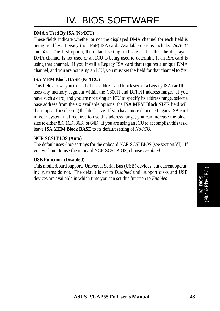#### **DMA x Used By ISA (No/ICU)**

These fields indicate whether or not the displayed DMA channel for each field is being used by a Legacy (non-PnP) ISA card. Available options include: *No/ICU* and *Yes*. The first option, the default setting, indicates either that the displayed DMA channel is not used or an ICU is being used to determine if an ISA card is using that channel. If you install a Legacy ISA card that requires a unique DMA channel, and you are not using an ICU, you must set the field for that channel to *Yes*.

#### **ISA MEM Block BASE (No/ICU)**

This field allows you to set the base address and block size of a Legacy ISA card that uses any memory segment within the C800H and DFFFH address range. If you have such a card, and you are not using an ICU to specify its address range, select a base address from the six available options; the **ISA MEM Block SIZE** field will then appear for selecting the block size. If you have more than one Legacy ISA card in your system that requires to use this address range, you can increase the block size to either 8K, 16K, 36K, or 64K. If you are using an ICU to accomplish this task, leave **ISA MEM Block BASE** to its default setting of *No/ICU*.

#### **NCR SCSI BIOS (Auto)**

The default uses *Auto* settings for the onboard NCR SCSI BIOS (see section VI). If you wish not to use the onboard NCR SCSI BIOS, choose *Disabled*

#### **USB Function (Disabled)**

This motherboard supports Universal Serial Bus (USB) devices but current operating systems do not. The default is set to *Disabled* until support disks and USB devices are available in which time you can set this function to *Enabled*.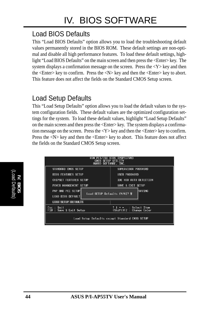# Load BIOS Defaults

This "Load BIOS Defaults" option allows you to load the troubleshooting default values permanently stored in the BIOS ROM. These default settings are non-optimal and disable all high performance features. To load these default settings, highlight "Load BIOS Defaults" on the main screen and then press the <Enter> key. The system displays a confirmation message on the screen. Press the  $\langle Y \rangle$  key and then the  $\leq$ Enter $\geq$  key to confirm. Press the  $\leq$ N $\geq$  key and then the  $\leq$ Enter $\geq$  key to abort. This feature does not affect the fields on the Standard CMOS Setup screen.

# Load Setup Defaults

This "Load Setup Defaults" option allows you to load the default values to the system configuration fields. These default values are the optimized configuration settings for the system. To load these default values, highlight "Load Setup Defaults" on the main screen and then press the <Enter> key. The system displays a confirmation message on the screen. Press the  $\langle Y \rangle$  key and then the  $\langle$ Enter $\rangle$  key to confirm. Press the  $\langle N \rangle$  key and then the  $\langle$ Enter $\rangle$  key to abort. This feature does not affect the fields on the Standard CMOS Setup screen.

| <u>PCI/I</u> SA BIOS (PAP55TV0)<br>CMOS SETUP UTILITY<br>AWARD SOFTWARE, INC.              |                        |  |
|--------------------------------------------------------------------------------------------|------------------------|--|
| STANDARD CMOS SETUP                                                                        | SUPERVISOR PASSHORD    |  |
| <b>BIOS FEATURES SETUP</b>                                                                 | USER PASSWORD          |  |
| <b>CHIPSET FEATURES SETUP</b>                                                              | IDE HDD AUTO DETECTION |  |
| POWER MANAGEMENT SETUP                                                                     | SAVE & EXIT SETUP      |  |
| <b>SAVING</b><br>PNP AND PCI SETUP<br>Load SETUP Defaults (Y/N)? W                         |                        |  |
| LOAD BIOS DEFAULT                                                                          |                        |  |
| LOAD SETUP DEFAULTS                                                                        |                        |  |
| ∴ → ← : Select Item<br>Esc : 0uit<br>$(Shift)F2$ : Change Color<br>F10 : Save & Exit Setup |                        |  |
| Load Setup Defaults except Standard CMOS SETUP                                             |                        |  |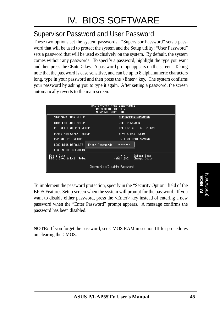# Supervisor Password and User Password

These two options set the system passwords. "Supervisor Password" sets a password that will be used to protect the system and the Setup utility; "User Password" sets a password that will be used exclusively on the system. By default, the system comes without any passwords. To specify a password, highlight the type you want and then press the <Enter> key. A password prompt appears on the screen. Taking note that the password is case sensitive, and can be up to 8 alphanumeric characters long, type in your password and then press the  $\leq$  Enter $\geq$  key. The system confirms your password by asking you to type it again. After setting a password, the screen automatically reverts to the main screen.

| PCI/ISA BIOS (PAP55TV0)<br>RUM<br>CMOS SETUP UTILITY<br>AWARD SOFTWARE, INC.        |                        |  |
|-------------------------------------------------------------------------------------|------------------------|--|
| STANDARD CMOS SETUP                                                                 | SUPERVISOR PASSWORD    |  |
| <b>BTOS FEATURES SETUP</b>                                                          | USER PASSWORD          |  |
| <b>CHIPSET FEATURES SETUP</b>                                                       | IDE HDD AUTO DETECTION |  |
| POWER MANAGEMENT SETUP                                                              | SAVE & EXIT SETUP      |  |
| PNP AND PCI SETUP                                                                   | EXIT WITHOUT SAVING    |  |
| LOAD BIOS DEFAULTS  <br><b>Enter Password:</b>                                      |                        |  |
| LOAD SETUP DEFAULTS                                                                 |                        |  |
| $Esc:$ Quit<br>: Select Item<br>(Shift)F2 : Change Color<br>F10 : Save & Exit Setup |                        |  |
| Change/Set/Disable Password                                                         |                        |  |

To implement the password protection, specify in the "Security Option" field of the BIOS Features Setup screen when the system will prompt for the password. If you want to disable either password, press the <Enter> key instead of entering a new password when the "Enter Password" prompt appears. A message confirms the password has been disabled.

**NOTE:** If you forget the password, see CMOS RAM in section III for procedures on clearing the CMOS.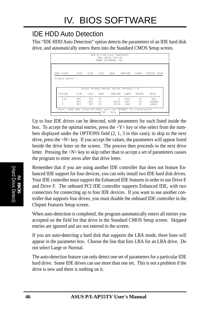# IDE HDD Auto Detection

This "IDE HDD Auto Detection" option detects the parameters of an IDE hard disk drive, and automatically enters them into the Standard CMOS Setup screen.

| ROM PCI/ISA BIOS (PAP55TV0)<br>CMOS SETUP UTILITY<br>AWARD SOFTWARE, INC. |           |                                  |           |                                           |                                  |                |                        |  |
|---------------------------------------------------------------------------|-----------|----------------------------------|-----------|-------------------------------------------|----------------------------------|----------------|------------------------|--|
| HARD DISKS                                                                | TYPE SIZE |                                  | CYLS      | HEAD                                      | PRECOMP                          | LANDZ          | SECTOR MODE            |  |
| Primary Master :                                                          |           |                                  |           |                                           |                                  |                |                        |  |
|                                                                           |           |                                  |           | Select Primary Master Option (N=Skip) : N |                                  |                |                        |  |
| OPTIONS                                                                   | SIZE      |                                  | CYLS HEAD | PRECOMP                                   | LANDZ                            | SECTOR         | MODE                   |  |
| 2(Y)<br>$\frac{1}{3}$                                                     | 849       | 849 823 32<br>849 1647 16<br>823 | 32        | $\Omega$                                  | 1646<br>65535 1646<br>65535 1646 | 63<br>63<br>63 | LBA<br>NORMAL<br>LARGE |  |
| Note: Some OSes (like SCO-UNIX) must use "NORMAL" for installation        |           |                                  |           | ESC : Skip                                |                                  |                |                        |  |

Up to four IDE drives can be detected, with parameters for each listed inside the box. To accept the optimal entries, press the  $\langle Y \rangle$  key or else select from the numbers displayed under the OPTIONS field (2, 1, 3 in this case); to skip to the next drive, press the  $\langle N \rangle$  key. If you accept the values, the parameters will appear listed beside the drive letter on the screen. The process then proceeds to the next drive letter. Pressing the  $\langle N \rangle$  key to skip rather than to accept a set of parameters causes the program to enter zeros after that drive letter.

Remember that if you are using another IDE controller that does not feature Enhanced IDE support for four devices, you can only install two IDE hard disk drives. Your IDE controller must support the Enhanced IDE features in order to use Drive E and Drive F. The onboard PCI IDE controller supports Enhanced IDE, with two connectors for connecting up to four IDE devices. If you want to use another controller that supports four drives, you must disable the onboard IDE controller in the Chipset Features Setup screen.

When auto-detection is completed, the program automatically enters all entries you accepted on the field for that drive in the Standard CMOS Setup screen. Skipped entries are ignored and are not entered in the screen.

If you are auto-detecting a hard disk that supports the LBA mode, three lines will appear in the parameter box. Choose the line that lists LBA for an LBA drive. Do not select Large or Normal.

The auto-detection feature can only detect one set of parameters for a particular IDE hard drive. Some IDE drives can use more than one set. This is not a problem if the drive is new and there is nothing on it.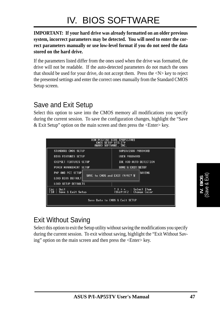**IMPORTANT: If your hard drive was already formatted on an older previous system, incorrect parameters may be detected. You will need to enter the correct parameters manually or use low-level format if you do not need the data stored on the hard drive.**

If the parameters listed differ from the ones used when the drive was formatted, the drive will not be readable. If the auto-detected parameters do not match the ones that should be used for your drive, do not accept them. Press the  $\langle N \rangle$  key to reject the presented settings and enter the correct ones manually from the Standard CMOS Setup screen.

# Save and Exit Setup

Select this option to save into the CMOS memory all modifications you specify during the current session. To save the configuration changes, highlight the "Save & Exit Setup" option on the main screen and then press the <Enter> key.

| ROM PCI/ISA BIOS (PAP55TV0)<br>CMOS SETUP UTILITY<br>AWARD SOFTWARE, INC.                 |                        |  |
|-------------------------------------------------------------------------------------------|------------------------|--|
| STANDARD CMOS SETUP                                                                       | SUPERVISOR PASSWORD    |  |
| <b>BIOS FEATURES SETUP</b>                                                                | USER PASSWORD          |  |
| CHIPSET FEATURES SETUP                                                                    | IDE HDD AUTO DETECTION |  |
| POWER MANAGEMENT SETUP                                                                    | SAVE & EXIT SETUP      |  |
| SAVING<br>PNP AND PCI SETUP<br>SAVE to CMOS and EXIT (Y/N)? W<br>LOAD BIOS DEFAULT        |                        |  |
| LOAD SETUP DEFAULTS                                                                       |                        |  |
| ↑↓ → ← : Select_Item<br>Esc : 0uit<br>(Shift)F2 : Change Color<br>F10 : Save & Exit Setup |                        |  |
| Save Data to CMOS & Exit SETUP                                                            |                        |  |

# Exit Without Saving

Select this option to exit the Setup utility without saving the modifications you specify during the current session. To exit without saving, highlight the "Exit Without Saving" option on the main screen and then press the <Enter> key.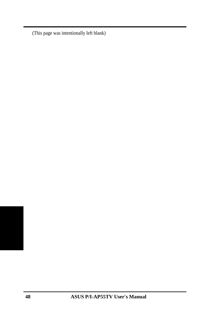(This page was intentionally left blank)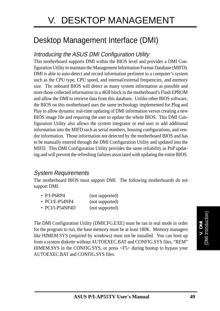# Desktop Management Interface (DMI)

## Introducing the ASUS DMI Configuration Utility

This motherboard supports DMI within the BIOS level and provides a DMI Configuration Utility to maintain the Management Information Format Database (MIFD). DMI is able to auto-detect and record information pertinent to a computer's system such as the CPU type, CPU speed, and internal/external frequencies, and memory size. The onboard BIOS will detect as many system information as possible and store those collected information in a 4KB block in the motherboard's Flash EPROM and allow the DMI to retrieve data from this database. Unlike other BIOS software, the BIOS on this motherboard uses the same technology implemented for Plug and Play to allow dynamic real-time updating of DMI information versus creating a new BIOS image file and requiring the user to update the whole BIOS. This DMI Configuration Utility also allows the system integrator or end user to add additional information into the MIFD such as serial numbers, housing configurations, and vendor information. Those information not detected by the motherboard BIOS and has to be manually entered through the DMI Configuration Utility and updated into the MIFD. This DMI Configuration Utility provides the same reliability as PnP updating and will prevent the refreshing failures associated with updating the entire BIOS.

#### System Requirements

The motherboard BIOS must support DMI. The following motherboards do not support DMI:

| • $P/I-P6RP4$         | (not supported) |
|-----------------------|-----------------|
| $\cdot$ PCI/E-P54NP4  | (not supported) |
| $\cdot$ PCI/I-P54NP4D | (not supported) |

The DMI Configuration Utility (DMICFG.EXE) must be ran in real mode in order for the program to run, the base memory must be at least 180K. Memory managers like HIMEM.SYS (required by windows) must not be installed. You can boot up from a system diskette without AUTOEXEC.BAT and CONFIG.SYS files, "REM" HIMEM.SYS in the CONFIG.SYS, or press <F5> during bootup to bypass your AUTOEXEC.BAT and CONFIG.SYS files.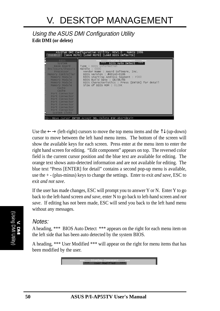## Using the ASUS DMI Configuration Utility **Edit DMI (or delete)**



Use the  $\leftarrow \rightarrow$  (left-right) cursors to move the top menu items and the  $\uparrow \downarrow$  (up-down) cursor to move between the left hand menu items. The bottom of the screen will show the available keys for each screen. Press enter at the menu item to enter the right hand screen for editing. "Edit component" appears on top. The reversed color field is the current cursor position and the blue text are available for editing. The orange text shows auto-detected information and are not available for editing. The blue text "Press [ENTER] for detail" contains a second pop-up menu is available, use the + - (plus-minus) keys to change the settings. Enter to exit *and save*, ESC to exit *and not save*.

If the user has made changes, ESC will prompt you to answer Y or N. Enter Y to go back to the left-hand screen *and save*, enter N to go back to left-hand screen and *not save*. If editing has not been made, ESC will send you back to the left hand menu without any messages.

#### Notes:

A heading, \*\*\* BIOS Auto Detect \*\*\* appears on the right for each menu item on the left side that has been auto detected by the system BIOS.

A heading, \*\*\* User Modified \*\*\* will appear on the right for menu items that has been modified by the user.

isplay Componen<br>**User Modified**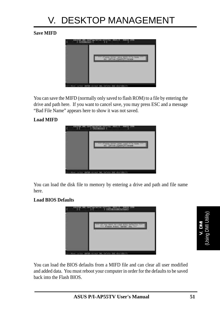# V. DESKTOP MANAGEMENT

**Save MIFD**



You can save the MIFD (normally only saved to flash ROM) to a file by entering the drive and path here. If you want to cancel save, you may press ESC and a message "Bad File Name" appears here to show it was not saved.

#### **Load MIFD**



You can load the disk file to memory by entering a drive and path and file name here.

#### **Load BIOS Defaults**



(Using DMI Utility)**V. DMI** Using DM

You can load the BIOS defaults from a MIFD file and can clear all user modified and added data. You must reboot your computer in order for the defaults to be saved back into the Flash BIOS.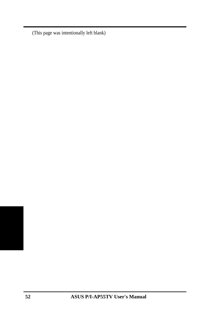(This page was intentionally left blank)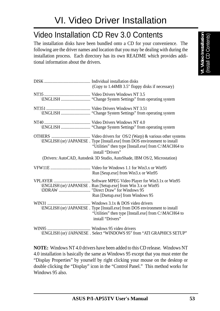# Video Installation CD Rev 3.0 Contents

The installation disks have been bundled onto a CD for your convenience. The following are the driver names and location that you may be dealing with during the installation process. Each directory has its own README which provides additional information about the drivers.

| (Copy to 1.44MB 3.5" floppy disks if necessary)                                                                                                           |
|-----------------------------------------------------------------------------------------------------------------------------------------------------------|
|                                                                                                                                                           |
|                                                                                                                                                           |
|                                                                                                                                                           |
| \ENGLISH (or) \JAPANESE. Type [Install.exe] from DOS environment to install<br>"Utilities" then type [Install.exe] from C:\MACH64 to<br>install "Drivers" |
| (Drivers: AutoCAD, Autodesk 3D Studio, AutoShade, IBM OS/2, Microstation)                                                                                 |
| Run [Seup.exe] from Win3.x or Win95                                                                                                                       |
| \ENGLISH (or) \JAPANESE. Run [Setup.exe] from Win 3.x or Win95<br>Run [Dsetup.exe] from Windows 95                                                        |
| \ENGLISH (or) \JAPANESE. Type [Install.exe] from DOS environment to install<br>"Utilities" then type [Install.exe] from C:\MACH64 to<br>install "Drivers" |
| \ENGLISH (or) \JAPANESE . Select "WINDOWS 95" from "ATI GRAPHICS SETUP"                                                                                   |

**NOTE:** Windows NT 4.0 drivers have been added to this CD release. Windows NT 4.0 installation is basically the same as Windows 95 except that you must enter the "Display Properties" by yourself by right clicking your mouse on the desktop or double clicking the "Display" icon in the "Control Panel." This method works for Windows 95 also.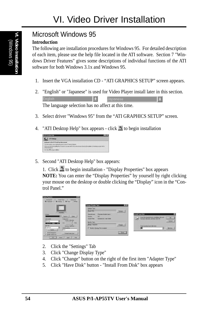# Microsoft Windows 95

#### **Introduction**

The following are installation procedures for Windows 95. For detailed description of each item, please use the help file located in the ATI software. Section 7 "Windows Driver Features" gives some descriptions of individual functions of the ATI software for both Windows 3.1x and Windows 95.

- 1. Insert the VGA installation CD "ATI GRAPHICS SETUP" screen appears.
- 2. "English" or "Japanese" is used for Video Player install later in this section. English  $\vert \pm \vert$ **Japanese** The language selection has no affect at this time.
- 3. Select driver "Windows 95" from the "ATI GRAPHICS SETUP" screen.
- 4. "ATI Desktop Help" box appears click  $\blacksquare$  to begin installation

| Alli Duskap Hotel                                                          |  |
|----------------------------------------------------------------------------|--|
| <b>HEAT</b>                                                                |  |
|                                                                            |  |
| WAMUA                                                                      |  |
| Millard Milla (R.F.1 pick pring 1, 1929) company women on the<br>101250.94 |  |

5. Second "ATI Desktop Help" box appears:

1. Click  $\blacksquare$  to begin installation - "Display Properties" box appears **NOTE:** You can enter the "Display Properties" by yourself by right clicking your mouse on the desktop or double clicking the "Display" icon in the "Control Panel."

| 摄影                                                                                                                                      | <b>Change Hispke Tape</b><br>and Miles                                        | 开关<br>W. |                                                                                                                                               |
|-----------------------------------------------------------------------------------------------------------------------------------------|-------------------------------------------------------------------------------|----------|-----------------------------------------------------------------------------------------------------------------------------------------------|
| <b>Stewa</b><br>$T$ has re-<br>u.<br><b>DAM</b><br><b>Erke exterio</b><br><b>CALL AND LOCATED</b><br><b>ISCON</b><br>AAAH<br><b>IHA</b> | <b>Strategic and University</b><br><b>Handa</b> ke<br>31<br><b>Birds Tare</b> |          | Install Food Blok<br>van the presence can employ the pre-<br>In decoration of and flats what ITC<br>m<br><b>PARTICO</b><br><b>Take</b><br>. . |
| <b>East rate</b><br>Dette 1285311<br>Tough Prove<br>Strainblanes<br>blain.<br>$\sim$ $\sim$ $\sim$<br><b>Genet</b>                      | Police I Thrust on<br>U Nicke c Europ the constant                            | Theat.   | Door shareholders and \$400 from                                                                                                              |

- 2. Click the "Settings" Tab
- 3. Click "Change Display Type"
- 4. Click "Change" button on the right of the first item "Adapter Type"
- 5. Click "Have Disk" button "Install From Disk" box appears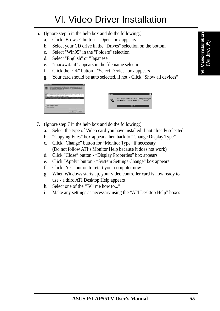# VI. Video Driver Installation

- 6. (Ignore step 6 in the help box and do the following:)
	- a. Click "Browse" button "Open" box appears
	- b. Select your CD drive in the "Drives" selection on the bottom
	- c. Select "Win95" in the "Folders" selection
	- d. Select "English" or "Japanese"
	- e. "macxw4.inf" appears in the file name selection
	- f. Click the "Ok" button "Select Device" box appears
	- g. Your card should be auto selected, if not Click "Show all devices"

|                                         |              | ٠                 |  |
|-----------------------------------------|--------------|-------------------|--|
| <b>CAR CAR CAR</b>                      | ___          | <b>ATTACHMENT</b> |  |
| IS 360CF 10706'S 2/T GPLP<br><b>153</b> | 31 noctobril |                   |  |
|                                         |              |                   |  |
|                                         |              |                   |  |
|                                         |              |                   |  |
|                                         |              |                   |  |



- 7. (Ignore step 7 in the help box and do the following:)
	- a. Select the type of Video card you have installed if not already selected
	- b. "Copying Files" box appears then back to "Change Display Type"
	- c. Click "Change" button for "Monitor Type" if necessary (Do not follow ATI's Monitor Help because it does not work)
	- d. Click "Close" button "Display Properties" box appears
	- e. Click "Apply" button "System Settings Change" box appears
	- f. Click "Yes" button to retart your computer now.
	- g. When Windows starts up, your video controller card is now ready to use - a third ATI Desktop Help appears
	- h. Select one of the "Tell me how to..."
	- i. Make any settings as necessary using the "ATI Desktop Help" boxes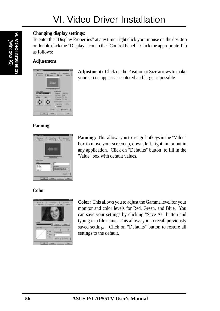#### **Changing display settings:**

To enter the "Display Properties" at any time, right click your mouse on the desktop or double click the "Display" icon in the "Control Panel." Click the appropriate Tab as follows:

#### **Adjustment**



**Adjustment:** Click on the Position or Size arrows to make your screen appear as centered and large as possible.

#### **Panning**



**Panning:** This allows you to assign hotkeys in the "Value" box to move your screen up, down, left, right, in, or out in any application. Click on "Defaults" button to fill in the 'Value" box with default values.

#### **Color**



**Color:** This allows you to adjust the Gamma level for your monitor and color levels for Red, Green, and Blue. You can save your settings by clicking "Save As" button and typing in a file name. This allows you to recall previously saved settings. Click on "Defaults" button to restore all settings to the default.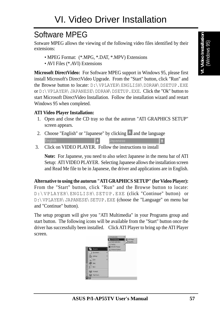# Software MPEG

Sotware MPEG allows the viewing of the following video files identified by their extensions:

- MPEG Format: (\*.MPG, \*.DAT, \*.MPV) Extensions
- AVI Files (\*.AVI) Extensions

**Microsoft DirectVideo:** For Software MPEG support in Windows 95, please first install Microsoft's DirectVideo Upgrade. From the "Start" button, click "Run" and the Browse button to locate: D:\VPLAYER\ENGLISH\DDRAW\DSETUP.EXE or D:\VPLAYER\JAPANESE\DDRAW\DSETUP.EXE. Click the "Ok" button to start Microsoft DirectVideo Installation. Follow the installation wizard and restart Windows 95 when completed.

#### **ATI Video Player Installation:**

- 1. Open and close the CD tray so that the autorun "ATI GRAPHICS SETUP" screen appears.
- 2. Choose "English" or "Japanese" by clicking  $\pm$  and the language English  $\overline{\mathbf{L}}$ Japanese  $\vert \downarrow \vert$
- 3. Click on VIDEO PLAYER. Follow the instructions to install

**Note:** For Japanese, you need to also select Japanese in the menu bar of ATI Setup: ATI VIDEO PLAYER. Selecting Japanese allows the installation screen and Read Me file to be in Japanese, the driver and applications are in English.

**Alternative to using the autorun "ATI GRAPHICS SETUP" (for Video Player):** From the "Start" button, click "Run" and the Browse button to locate: D:\VPLAYER\ENGLISH\SETUP.EXE (click "Continue" button) or D:\VPLAYER\JAPANESE\SETUP.EXE (choose the "Language" on menu bar and "Continue" button).

The setup program will give you "ATI Multimedia" in your Programs group and start button. The following icons will be available from the "Start" button once the driver has successfully been installed. Click ATI Player to bring up the ATI Player screen.

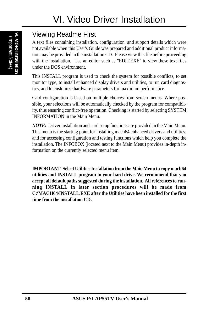# Viewing Readme First

A text files containing installation, configuration, and support details which were not available when this User's Guide was prepared and additional product information may be provided in the installation CD. Please view this file before proceeding with the installation. Use an editor such as "EDIT.EXE" to view these text files under the DOS environment.

This INSTALL program is used to check the system for possible conflicts, to set monitor type, to install enhanced display drivers and utilities, to run card diagnostics, and to customize hardware parameters for maximum performance.

Card configuration is based on multiple choices from screen menus. Where possible, your selections will be automatically checked by the program for compatibility, thus ensuring conflict-free operation. Checking is started by selecting SYSTEM INFORMATION in the Main Menu.

*NOTE:* Driver installation and card setup functions are provided in the Main Menu. This menu is the starting point for installing mach64 enhanced drivers and utilities, and for accessing configuration and testing functions which help you complete the installation. The INFOBOX (located next to the Main Menu) provides in-depth information on the currently selected menu item.

**IMPORTANT: Select Utilities Installation from the Main Menu to copy mach64 utilities and INSTALL program to your hard drive. We recommend that you accept all default paths suggested during the installation. All references to running INSTALL in later section procedures will be made from C:\MACH64\INSTALL.EXE after the Utilities have been installed for the first time from the installation CD.**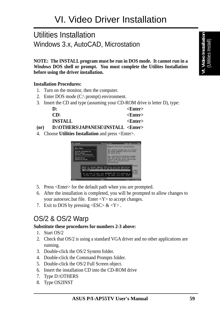# Utilities Installation Windows 3.x, AutoCAD, Microstation

**NOTE: The INSTALL program must be run in DOS mode. It cannot run in a** *Windows* **DOS shell or prompt. You must complete the Utilites Installation before using the driver installation.**

#### **Installation Procedures:**

- 1. Turn on the monitor, then the computer.
- 2. Enter DOS mode (C:\ prompt) environment.
- 3. Insert the CD and type (assuming your CD-ROM drive is letter D), type:

| D:                                | $\epsilon$ Enter $>$ |
|-----------------------------------|----------------------|
| CD(                               | $\epsilon$ Enter $>$ |
| <b>INSTALL</b>                    | $\epsilon$ Enter $>$ |
| D LOUITUDOLI DI VIDOUI ILIONI I T |                      |

**(or) D:\OTHERS\JAPANESE\INSTALL <Enter>**

4. Choose **Utilities Installation** and press <Enter>.



- 5. Press <Enter> for the default path when you are prompted.
- 6. After the installation is completed, you will be prompted to allow changes to your autoexec.bat file. Enter <Y> to accept changes.
- 7. Exit to DOS by pressing  $\langle ESC \rangle \& \langle Y \rangle$ .

# OS/2 & OS/2 Warp

#### **Substitute these procedures for numbers 2-3 above:**

- 1. Start OS/2
- 2. Check that OS/2 is using a standard VGA driver and no other applications are running.
- 3. Double-click the OS/2 System folder.
- 4. Double-click the Command Prompts folder.
- 5. Double-click the OS/2 Full Screen object.
- 6. Insert the installation CD into the CD-ROM drive
- 7. Type D:\OTHERS
- 8. Type OS2INST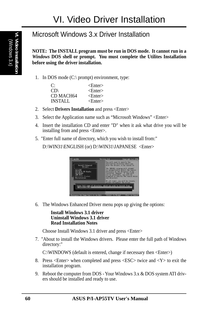## Microsoft Windows 3.x Driver Installation

**NOTE: The INSTALL program must be run in DOS mode. It cannot run in a** *Windows* **DOS shell or prompt. You must complete the Utilites Installation before using the driver installation.**

1. In DOS mode (C:\ prompt) environment, type:

| C:             | $\leq$ Enter $>$ |
|----------------|------------------|
| CD(            | $\leq$ Enter $>$ |
| CD MACH64      | $\leq$ Enter $>$ |
| <b>INSTALL</b> | $\leq$ Enter $>$ |

- 2. Select **Drivers Installation** and press <Enter>
- 3. Select the Application name such as "Microsoft Windows" <Enter>
- 4. Insert the installation CD and enter "D" when it ask what drive you will be installing from and press <Enter>.
- 5. "Enter full name of directory, which you wish to install from:" D:\WIN31\ENGLISH (or) D:\WIN31\JAPANESE <Enter>



6. The Windows Enhanced Driver menu pops up giving the options:

#### **Install Windows 3.1 driver Uninstall Windows 3.1 driver Read Installation Notes**

Choose Install Windows 3.1 driver and press <Enter>

7. "About to install the Windows drivers. Please enter the full path of Windows directory:"

C:\WINDOWS (default is entered, change if necessary then <Enter>)

- 8. Press  $\leq$ Enter $>$  when completed and press  $\leq$ ESC $>$  twice and  $\leq$ Y $>$  to exit the installation program.
- 9. Reboot the computer from DOS Your Windows 3.x & DOS system ATI drivers should be installed and ready to use.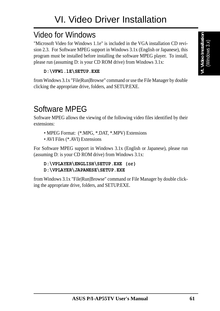# Video for Windows

"Microsoft Video for Windows 1.1e" is included in the VGA installation CD revision 2.3. For Software MPEG support in Windows 3.1x (English or Japanese), this program must be installed before installing the software MPEG player. To install, please run (assuming D: is your CD ROM drive) from Windows 3.1x:

#### **D:\VFW1.1E\SETUP.EXE**

from Windows 3.1x "File|Run|Browse" command or use the File Manager by double clicking the appropriate drive, folders, and SETUP.EXE.

# Software MPEG

Software MPEG allows the viewing of the following video files identified by their extensions:

- MPEG Format: (\*.MPG, \*.DAT, \*.MPV) Extensions
- AVI Files (\*.AVI) Extensions

For Software MPEG support in Windows 3.1x (English or Japanese), please run (assuming D: is your CD ROM drive) from Windows 3.1x:

#### **D:\VPLAYER\ENGLISH\SETUP.EXE (or) D:\VPLAYER\JAPANESE\SETUP.EXE**

from Windows 3.1x "File|Run|Browse" command or File Manager by double clicking the appropriate drive, folders, and SETUP.EXE.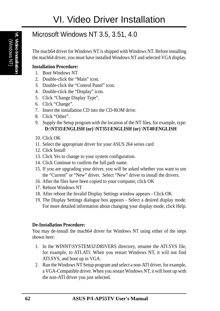# Microsoft Windows NT 3.5, 3.51, 4.0

The mach64 driver for Windows NT is shipped with Windows NT. Before installing the mach64 driver, you must have installed Windows NT and selected VGA display.

#### **Installation Procedure:**

- 1. Boot Windows NT
- 2. Double-click the "Main" icon.
- 3. Double-click the "Control Panel" icon.
- 4. Double-click the "Display" icon.
- 5. Click "Change Display Type".
- 6. Click "Change".
- 7. Insert the installation CD into the CD-ROM drive.
- 8. Click "Other".
- 9. Supply the Setup program with the location of the NT files, for example, type: **D:\NT35\ENGLISH (or) \NT351\ENGLISH (or) \NT40\ENGLISH**
- 10. Click OK
- 11. Select the appropriate driver for your ASUS 264 series card
- 12. Click Install
- 13. Click Yes to change to your system configuration.
- 14. Click Continue to confirm the full path name.
- 15. If you are upgrading your driver, you will be asked whether you want to use the "Current" or "New" driver. Select "New" driver to install the drivers.
- 16. After the files have been copied to your computer, click OK
- 17. Reboot Windows NT
- 18. After reboot the Invalid Display Settings window appears Click OK
- 19. The Display Settings dialogue box appears Select a desired display mode. For more detailed information about changing your display mode, click Help.

#### **De-Installation Procedure:**

You may de-install the mach64 driver for Windows NT using either of the steps shown here:

- 1. In the WINNT\SYSTEM32\DRIVERS directory, rename the ATI.SYS file, for example, to ATI.ATI. When you restart Windows NT, it will not find ATI.SYS, and boot up in VGA.
- 2. Run the Windows NT Setup program and select a non-ATI driver, for example, a VGA-Compatible driver. When you restart Windows NT, it will boot up with the non-ATI driver you just selected.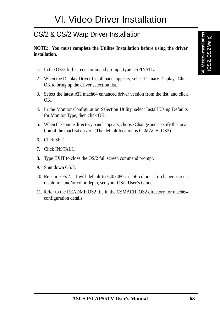# OS/2 & OS/2 Warp Driver Installation

#### **NOTE: You must complete the Utilites Installation before using the driver installation.**

- 1. In the OS/2 full-screen command prompt, type DSPINSTL.
- 2. When the Display Driver Install panel appears, select Primary Display. Click OK to bring up the driver selection list.
- 3. Select the latest ATI mach64 enhanced driver version from the list, and click OK.
- 4. In the Monitor Configuration Selection Utility, select Install Using Defaults for Monitor Type, then click OK.
- 5. When the source directory panel appears, choose Change and specify the location of the mach64 driver. (The default location is C:\MACH\_OS2)
- 6. Click SET.
- 7. Click INSTALL.
- 8. Type EXIT to close the OS/2 full screen command prompt.
- 9. Shut down OS/2.
- 10. Re-start OS/2. It will default to 640x480 in 256 colors. To change screen resolution and/or color depth, see your OS/2 User's Guide.
- 11. Refer to the README.OS2 file in the C:\MACH\_OS2 directory for mach64 configuration details.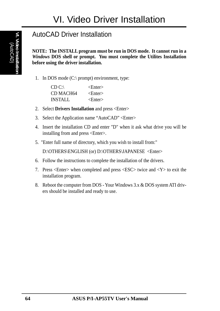# AutoCAD Driver Installation

**NOTE: The INSTALL program must be run in DOS mode. It cannot run in a** *Windows* **DOS shell or prompt. You must complete the Utilites Installation before using the driver installation.**

1. In DOS mode (C:\ prompt) environment, type:

| $CD C$ :       | $\leq$ Enter $>$ |
|----------------|------------------|
| CD MACH64      | $\leq$ Enter $>$ |
| <b>INSTALL</b> | $\leq$ Enter $>$ |

- 2. Select **Drivers Installation** and press <Enter>
- 3. Select the Application name "AutoCAD" <Enter>
- 4. Insert the installation CD and enter "D" when it ask what drive you will be installing from and press <Enter>.
- 5. "Enter full name of directory, which you wish to install from:"

D:\OTHERS\ENGLISH (or) D:\OTHERS\JAPANESE <Enter>

- 6. Follow the instructions to complete the installation of the drivers.
- 7. Press  $\leq$ Enter $>$  when completed and press  $\leq$ ESC $>$  twice and  $\leq$ Y $>$  to exit the installation program.
- 8. Reboot the computer from DOS Your Windows 3.x & DOS system ATI drivers should be installed and ready to use.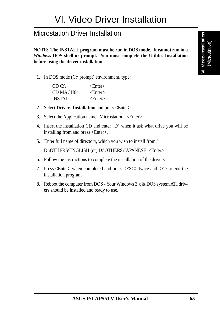## Microstation Driver Installation

**NOTE: The INSTALL program must be run in DOS mode. It cannot run in a** *Windows* **DOS shell or prompt. You must complete the Utilites Installation before using the driver installation.**

1. In DOS mode (C:\ prompt) environment, type:

| CD C           | $\langle$ Enter $\rangle$ |
|----------------|---------------------------|
| CD MACH64      | $\leq$ Enter $>$          |
| <b>INSTALL</b> | $\leq$ Enter $>$          |

- 2. Select **Drivers Installation** and press <Enter>
- 3. Select the Application name "Microstation" <Enter>
- 4. Insert the installation CD and enter "D" when it ask what drive you will be installing from and press <Enter>.
- 5. "Enter full name of directory, which you wish to install from:"

D:\OTHERS\ENGLISH (or) D:\OTHERS\JAPANESE <Enter>

- 6. Follow the instructions to complete the installation of the drivers.
- 7. Press <Enter> when completed and press <ESC> twice and <Y> to exit the installation program.
- 8. Reboot the computer from DOS Your Windows 3.x & DOS system ATI drivers should be installed and ready to use.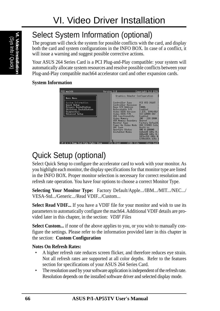# **VI. Video Installation** (Sys Info / Quick)

# Select System Information (optional)

The program will check the system for possible conflicts with the card, and display both the card and system configurations in the INFO BOX. In case of a conflict, it will issue a warning and suggest possible corrective actions.

Your ASUS 264 Series Card is a PCI Plug-and-Play compatible: your system will automatically allocate system resources and resolve possible conflicts between your Plug-and-Play compatible mach64 accelerator card and other expansion cards.

#### **System Information**

| PCI mach64                                                                                                                        | Version 3.0 |                                                                                                                                                                                                                                                                                                                                           |                 | Copyright (c) 1996                                                                                                                                                                                                                                                      |                              |
|-----------------------------------------------------------------------------------------------------------------------------------|-------------|-------------------------------------------------------------------------------------------------------------------------------------------------------------------------------------------------------------------------------------------------------------------------------------------------------------------------------------------|-----------------|-------------------------------------------------------------------------------------------------------------------------------------------------------------------------------------------------------------------------------------------------------------------------|------------------------------|
| Main Menu<br>System Information<br>Ouick Setup<br>Drivers Installation<br>Utilities Installation<br>Diagnostics<br>Advanced Setup |             | Graphics Adapter Configuration<br>Controller Type<br>Controller Revision<br>Base I/O Address<br>Relocatable I/O and a<br>Video BIOS Version<br>Video BIOS P/N<br>VGA Functionality —<br>Video Memorv<br>VGA Memory Boundary<br>Monitor Type <b>Allege Strutt</b><br>Power-Up Video Mode<br>DAC Type<br>Aperture Status<br>Installed Modes |                 | PCI ATI-264VT<br>и<br>F000h<br>Enabled<br>2.121, 1996/01/<br>113-40008-102<br>Enabled<br>$2MB - FDO DRAM$<br>Shared<br>Factory Default<br>VGA (CV80) Colo<br>$Built-in$<br><b>8MB @ 4000MB</b><br>640×480 60Hz N<br>800×600 60Hz N<br>1024×768 60Hz N<br>1280×1024 43Hz |                              |
| $(1 + \cdot \cdot)$ Home End Pallo Pallo View                                                                                     |             | $\langle$ F5> Print                                                                                                                                                                                                                                                                                                                       | <f10>File</f10> |                                                                                                                                                                                                                                                                         | $\langle$ Fec $\rangle$ Fvit |

# Quick Setup (optional)

Select Quick Setup to configure the accelerator card to work with your monitor. As you highlight each monitor, the display specifications for that monitor type are listed in the INFO BOX. Proper monitor selection is necessary for correct resolution and refresh rate operation. You have four options to choose a correct Monitor Type.

**Selecting Your Monitor Type:** Factory Default/Apple.../IBM.../MIT.../NEC.../ VESA-Std.../Generic.../Read VDIF.../Custom...

**Select Read VDIF...** If you have a VDIF file for your monitor and wish to use its parameters to automatically configure the mach64. Additional VDIF details are provided later in this chapter, in the section: *VDIF Files*

**Select Custom...** if none of the above applies to you, or you wish to manually configure the settings. Please refer to the information provided later in this chapter in the section:**Custom Configuration**

#### **Notes On Refresh Rates:**

- A higher refresh rate reduces screen flicker, and therefore reduces eye strain. Not all refresh rates are supported at all color depths. Refer to the features section for specifications of your ASUS 264 Series Card.
- The resolution used by your software application is independent of the refresh rate. Resolution depends on the installed software driver and selected display mode.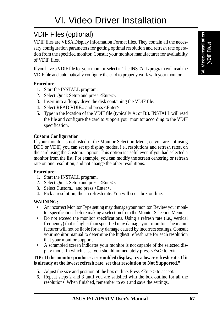## VDIF Files (optional)

VDIF files are VESA Display Information Format files. They contain all the necessary configuration parameters for getting optimal resolution and refresh rate operation from the specified monitor. Consult your monitor manufacturer for availability of VDIF files.

If you have a VDIF file for your monitor, select it. The INSTALL program will read the VDIF file and automatically configure the card to properly work with your monitor.

## **Procedure:**

- 1. Start the INSTALL program.
- 2. Select Quick Setup and press <Enter>.
- 3. Insert into a floppy drive the disk containing the VDIF file.
- 4. Select READ VDIF... and press <Enter>.
- 5. Type in the location of the VDIF file (typically A: or B:). INSTALL will read the file and configure the card to support your monitor according to the VDIF specification.

## **Custom Configuration**

If your monitor is not listed in the Monitor Selection Menu, or you are not using DDC or VDIF, you can set up display modes, i.e., resolutions and refresh rates, on the card using the Custom... option. This option is useful even if you had selected a monitor from the list. For example, you can modify the screen centering or refresh rate on one resolution, and not change the other resolutions.

## **Procedure:**

- 1. Start the INSTALL program.
- 2. Select Quick Setup and press <Enter>.
- 3. Select Custom... and press <Enter>.
- 4. Pick a resolution, then a refresh rate. You will see a box outline.

## **WARNING:**

- An incorrect Monitor Type setting may damage your monitor. Review your monitor specifications before making a selection from the Monitor Selection Menu.
- Do not exceed the monitor specifications. Using a refresh rate (i.e., vertical frequency) that is higher than specified may damage your monitor. The manufacturer will not be liable for any damage caused by incorrect settings. Consult your monitor manual to determine the highest refresh rate for each resolution that your monitor supports.
- A scrambled screen indicates your monitor is not capable of the selected display mode. In which case, you should immediately press <Esc> to exit.

#### **TIP: If the monitor produces a scrambled display, try a lower refresh rate. If it is already at the lowest refresh rate, set that resolution to Not Supported."**

- 5. Adjust the size and position of the box outline. Press <Enter> to accept.
- 6. Repeat steps 2 and 3 until you are satisfied with the box outline for all the resolutions. When finished, remember to exit and save the settings.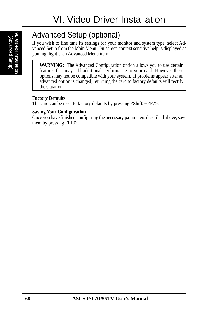## Advanced Setup (optional)

If you wish to fine tune its settings for your monitor and system type, select Advanced Setup from the Main Menu. On-screen context sensitive help is displayed as you highlight each Advanced Menu item.

**WARNING:** The Advanced Configuration option allows you to use certain features that may add additional performance to your card. However these options may not be compatible with your system. If problems appear after an advanced option is changed, returning the card to factory defaults will rectify the situation.

#### **Factory Defaults**

The card can be reset to factory defaults by pressing  $\langle \text{Shift} \rangle + \langle \text{F7} \rangle$ .

#### **Saving Your Configuration**

Once you have finished configuring the necessary parameters described above, save them by pressing  $\langle$ F10 $\rangle$ .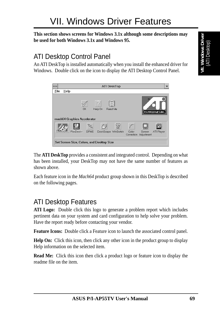**This section shows screens for Windows 3.1x although some descriptions may be used for both Windows 3.1x and Windows 95.**

## ATI Desktop Control Panel

An ATI DeskTop is installed automatically when you install the enhanced driver for Windows. Double click on the icon to display the ATI Desktop Control Panel.



The **ATI DeskTop** provides a consistent and integrated control. Depending on what has been installed, your DeskTop may not have the same number of features as shown above.

Each feature icon in the *Mach64* product group shown in this DeskTop is described on the following pages.

## ATI Desktop Features

**ATI Logo:** Double click this logo to generate a problem report which includes pertinent data on your system and card configuration to help solve your problem. Have the report ready before contacting your vendor.

**Feature Icons:** Double click a Feature icon to launch the associated control panel.

**Help On:** Click this icon, then click any other icon in the product group to display Help information on the selected item.

**Read Me:** Click this icon then click a product logo or feature icon to display the readme file on the item.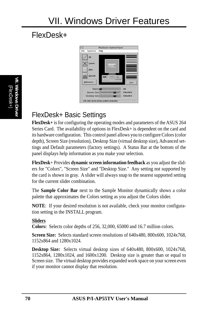## FlexDesk+



# (FlexDesk+) **VII. Windows Driver**

## FlexDesk+ Basic Settings

**FlexDesk+** is for configuring the operating modes and parameters of the ASUS 264 Series Card. The availability of options in FlexDesk+ is dependent on the card and its hardware configuration. This control panel allows you to configure Colors (color depth), Screen Size (resolution), Desktop Size (virtual desktop size), Advanced settings and Default parameters (factory settings). A Status Bar at the bottom of the panel displays help information as you make your selection.

**FlexDesk**+ Provides **dynamic screen information feedback** as you adjust the sliders for "Colors", "Screen Size" and "Desktop Size." Any setting not supported by the card is shown in gray. A slider will always snap to the nearest supported setting for the current slider combination.

The **Sample Color Bar** next to the Sample Monitor dynamically shows a color palette that approximates the Colors setting as you adjust the Colors slider.

**NOTE**: If your desired resolution is not available, check your monitor configuration setting in the INSTALL program.

## **Sliders**

**Colors:** Selects color depths of 256, 32,000, 65000 and 16.7 million colors.

**Screen Size:** Selects standard screen resolutions of 640x480, 800x600, 1024x768, 1152x864 and 1280x1024.

**Desktop Size:** Selects virtual desktop sizes of 640x480, 800x600, 1024x768, 1152x864, 1280x1024, and 1600x1200. Desktop size is greater than or equal to Screen size. The virtual desktop provides expanded work space on your screen even if your monitor cannot display that resolution.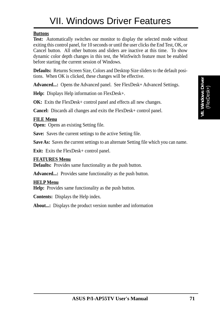## **Buttons**

**Test:** Automatically switches our monitor to display the selected mode without exiting this control panel, for 10 seconds or until the user clicks the End Test, OK, or Cancel button. All other buttons and sliders are inactive at this time. To show dynamic color depth changes in this test, the WinSwitch feature must be enabled before starting the current session of Windows.

**Defaults:** Returns Screen Size, Colors and Desktop Size sliders to the default positions. When OK is clicked, these changes will be effective.

**Advanced...:** Opens the Advanced panel. See FlexDesk+ Advanced Settings.

**Help:** Displays Help information on FlexDesk+.

**OK:** Exits the FlexDesk+ control panel and effects all new changes.

**Cancel:** Discards all changes and exits the FlexDesk+ control panel.

## **FILE Menu**

**Open:** Opens an existing Setting file.

**Save:** Saves the current settings to the active Setting file.

**Save As:** Saves the current settings to an alternate Setting file which you can name.

**Exit:** Exits the FlexDesk+ control panel.

## **FEATURES Menu**

**Defaults:** Provides same functionality as the push button.

Advanced...: Provides same functionality as the push button.

## **HELP Menu**

**Help:** Provides same functionality as the push button.

**Contents:** Displays the Help index.

**About...:** Displays the product version number and information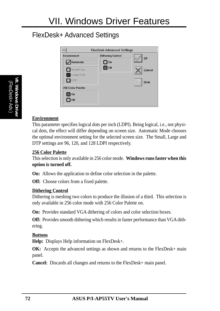## FlexDesk+ Advanced Settings

|                   | <b>FlexDesk Advanced Settings</b> |                 |
|-------------------|-----------------------------------|-----------------|
| Environment       | <b>Dithering Control</b>          | $\overline{OX}$ |
| Automatic         | 10n                               |                 |
| <b>Small Font</b> | Off                               | Cancel          |
| <b>Large Font</b> |                                   |                 |
|                   |                                   | Help            |
| 256 Color Palette |                                   |                 |
| On                |                                   |                 |
| Off               |                                   |                 |

## **Environment**

This parameter specifies logical dots per inch (LDPI). Being logical, i.e., not physical dots, the effect will differ depending on screen size. Automatic Mode chooses the optimal environment setting for the selected screen size. The Small, Large and DTP settings are 96, 120, and 128 LDPI respectively.

#### **256 Color Palette**

This selection is only available in 256 color mode. **Windows runs faster when this option is turned off.**

**On:** Allows the application to define color selection in the palette.

**Off:** Choose colors from a fixed palette.

## **Dithering Control**

Dithering is meshing two colors to produce the illusion of a third. This selection is only available in 256 color mode with 256 Color Palette on.

**On:** Provides standard VGA dithering of colors and color selection boxes.

**Off:** Provides smooth dithering which results in faster performance than VGA dithering.

## **Buttons**

**Help:** Displays Help information on FlexDesk+.

**OK:** Accepts the advanced settings as shown and returns to the FlexDesk+ main panel.

**Cancel:** Discards all changes and returns to the FlexDesk+ main panel.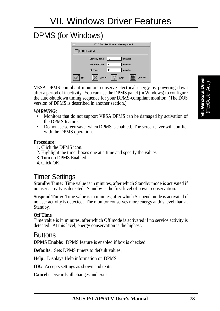## DPMS (for Windows)

| VESA Display Power Management                                                |  |  |
|------------------------------------------------------------------------------|--|--|
| <b>DPMS Enabled</b>                                                          |  |  |
| 115<br><b>Standby Time:</b><br>minutes                                       |  |  |
| <b>Suspend Time:</b><br>30<br>minutes                                        |  |  |
| 60<br>Off Time:<br>minutes                                                   |  |  |
| $\overline{OK}$<br><u>nglia</u><br>Cancel<br>Help<br><b>Defaults</b><br>8888 |  |  |

VESA DPMS-compliant monitors conserve electrical energy by powering down after a period of inactivity. You can use the DPMS panel (in Windows) to configure the auto-shutdown timing sequence for your DPMS-compliant monitor. (The DOS version of DPMS is described in another section.)

#### *WARNING:*

- Monitors that do not support VESA DPMS can be damaged by activation of the DPMS feature.
- Do not use screen saver when DPMS is enabled. The screen saver will conflict with the DPMS operation.

## **Procedure:**

- 1. Click the DPMS icon.
- 2. Highlight the timer boxes one at a time and specify the values.
- 3. Turn on DPMS Enabled.
- 4. Click OK.

## Timer Settings

**Standby Time:** Time value is in minutes, after which Standby mode is activated if no user activity is detected. Standby is the first level of power conservation.

**Suspend Time:** Time value is in minutes, after which Suspend mode is activated if no user activity is detected. The monitor conserves more energy at this level than at Standby.

## **Off Time**

Time value is in minutes, after which Off mode is activated if no service activity is detected. At this level, energy conservation is the highest.

## **Buttons**

**DPMS Enable:** DPMS feature is enabled if box is checked.

**Defaults:** Sets DPMS timers to default values.

**Help:** Displays Help information on DPMS.

**OK:** Accepts settings as shown and exits.

**Cancel:** Discards all changes and exits.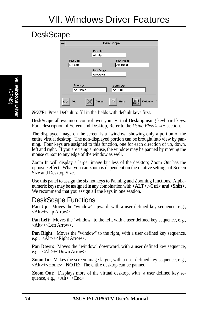## **DeskScape**

|                      |                      | <b>DeskScape</b>       |                         |
|----------------------|----------------------|------------------------|-------------------------|
|                      | Pan Up<br>Alt+Up     |                        |                         |
| Pan Left<br>Alt+Left |                      | Pan Right<br>Alt+Right |                         |
|                      | Pan Down<br>Alt+Down |                        |                         |
| Zoom In<br>Alt+Home  |                      | Zoom Out<br>Alt+End    |                         |
| $\overline{OK}$      | Cancel               | 7<br>Help              | Aida<br><b>Defaults</b> |

*NOTE:* Press Default to fill in the fields with default keys first.

**DeskScape** allows more control over your Virtual Desktop using keyboard keys. For a description of Screen and Desktop, Refer to the *Using FlexDesk+* section.

The displayed image on the screen is a "window" showing only a portion of the entire virtual desktop. The non-displayed portion can be brought into view by panning. Four keys are assigned to this function, one for each direction of up, down, left and right. If you are using a mouse, the window may be panned by moving the mouse cursor to any edge of the window as well.

Zoom In will display a larger image but less of the desktop; Zoom Out has the opposite effect. What you can zoom is dependent on the relative settings of Screen Size and Desktop Size.

Use this panel to assign the six hot keys to Panning and Zooming functions. Alphanumeric keys may be assigned in any combination with **<ALT>,<Ctrl> and <Shift>**. We recommend that you assign all the keys in one session.

## DeskScape Functions

**Pan Up:** Moves the "window" upward, with a user defined key sequence, e.g., <Alt>+<Up Arrow>

**Pan Left:** Moves the "window" to the left, with a user defined key sequence, e.g.,  $\langle$ Alt $>+\langle$ Left Arrow $>$ .

**Pan Right:** Moves the "window" to the right, with a user defined key sequence, e.g., <Alt>+<Right Arrow>.

**Pan Down:** Moves the "window" downward, with a user defined key sequence, e.g.. <Alt>+<Down Arrow>

**Zoom In:** Makes the screen image larger, with a user defined key sequence, e.g., <Alt>+<Home>. **NOTE:** The entire desktop can be panned.

**Zoom Out:** Displays more of the virtual desktop, with a user defined key sequence, e.g.,  $\langle Alt \rangle + \langle End \rangle$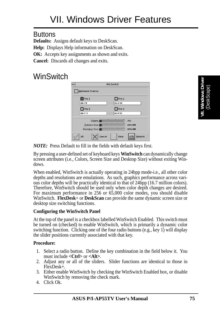## **Buttons**

**Defaults:** Assigns default keys to DeskScan. **Help:** Displays Help information on DeskScan. **OK:** Accepts key assignments as shown and exits. **Cancel:** Discards all changes and exits.

## **WinSwitch**

| WinSwitch                                                                         |        |                                       |                         |
|-----------------------------------------------------------------------------------|--------|---------------------------------------|-------------------------|
| WinSwitch Enabled                                                                 |        |                                       |                         |
| Key 1<br>Alt+F9                                                                   |        | $\log_2$<br>Alt+F10                   |                         |
| $\log_3$<br>Alt+F11                                                               |        | $\sqrt{\frac{1}{2}}$ Key 1<br>Alt+F12 |                         |
| Colors <sup>III</sup><br>256<br>Screen Size<br>640×480<br>Desktop Size<br>640×480 |        |                                       |                         |
| QK                                                                                | Cancel | Help                                  | فلفة<br><b>Defaults</b> |

*NOTE:* Press Default to fill in the fields with default keys first.

By pressing a user-defined set of keyboard keys **WinSwitch** can dynamically change screen attributes (i.e., Colors, Screen Size and Desktop Size) without exiting Windows.

When enabled, WinSwitch is actually operating in 24bpp mode-i.e., all other color depths and resolutions are emulations. As such, graphics performance across various color depths will be practically identical to that of 24bpp (16.7 million colors). Therefore, WinSwitch should be used only when color depth changes are desired. For maximum performance in 256 or 65,000 color modes, you should disable WinSwitch. **FlexDesk**+ or **DeskScan** can provide the same dynamic screen size or desktop size switching functions.

## **Configuring the WinSwitch Panel**

At the top of the panel is a checkbox labelled WinSwitch Enabled. This switch must be turned on (checked) to enable WinSwitch, which is primarily a dynamic color switching function. Clicking one of the four radio buttons (e.g., key 1) will display the slider positions currently associated with that key.

## **Procedure:**

- 1. Select a radio button. Define the key combination in the field below it. You must include **<Ctrl>** or **<Alt>**.
- 2. Adjust any or all of the sliders. Slider functions are identical to those in FlexDesk+.
- 3. Either enable WinSwitch by checking the WinSwitch Enabled box, or disable WinSwitch by removing the check mark.
- 4. Click Ok.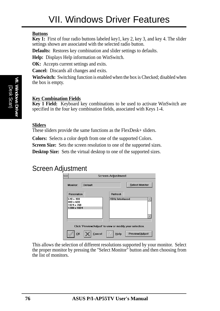## VII. Windows Driver Features

#### **Buttons**

**Key 1:** First of four radio buttons labeled key1, key 2, key 3, and key 4. The slider settings shown are associated with the selected radio button.

**Defaults:** Restores key combination and slider settings to defaults.

**Help:** Displays Help information on WinSwitch.

**OK:** Accepts current settings and exits.

**Cancel:** Discards all changes and exits.

**WinSwitch:** Switching function is enabled when the box is Checked; disabled when the box is empty.

#### **Key Combination Fields**

**Key 1 Field:** Keyboard key combinations to be used to activate WinSwitch are specified in the four key combination fields, associated with Keys 1-4.

#### **Sliders**

These sliders provide the same functions as the FlexDesk+ sliders.

**Colors:** Selects a color depth from one of the supported Colors.

**Screen Size:** Sets the screen resolution to one of the supported sizes.

**Desktop Size:** Sets the virtual desktop to one of the supported sizes.

## Screen Adjustment



This allows the selection of different resolutions supported by your monitor. Select the proper monitor by pressing the "Select Monitor" button and then choosing from the list of monitors.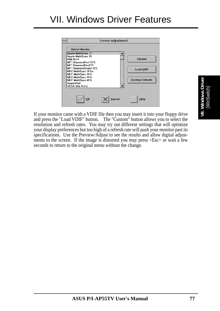

If your monitor came with a VDIF file then you may insert it into your floppy drive and press the "Load VDIF" button. The "Custom" button allows you to select the resolution and refresh rates. You may try out different settings that will optimize your display preferences but too high of a refresh rate will push your monitor past its specifications. Use the Preview/Adjust to see the results and allow digital adjustments to the screen. If the image is distorted you may press  $\langle Esc \rangle$  or wait a few seconds to return to the original menu without the change.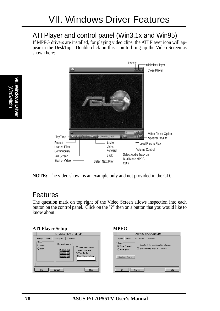## ATI Player and control panel (Win3.1x and Win95)

If MPEG drivers are installed, for playing video clips, the ATI Player icon will appear in the DeskTop. Double click on this icon to bring up the Video Screen as shown here:



**NOTE:** The video shown is an example only and not provided in the CD.

## Features

The question mark on top right of the Video Screen allows inspection into each button on the control panel. Click on the "?" then on a button that you would like to know about.



| ATI VIDEO PLAYER SETUP                                                                                                                                                                                             |
|--------------------------------------------------------------------------------------------------------------------------------------------------------------------------------------------------------------------|
| <b>MPEG</b><br>Still Capture<br>Schedule<br>Display<br>Scale<br>Update slider position while playing.<br>Show Frames!(<br>$\boxtimes$ Automatically play CD if present.<br>$\supset$ Show Time<br>Configure Driver |
| OK<br>Help<br>Cancel                                                                                                                                                                                               |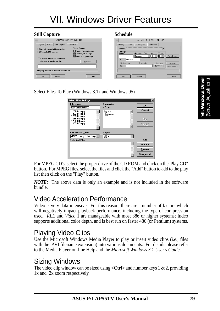#### **Still Capture Schedule**

| ATI VIDEO PLAYER SETUP                                                        |                                                                      |  |  |
|-------------------------------------------------------------------------------|----------------------------------------------------------------------|--|--|
| <b>MPEG</b><br>Display<br><b>Still Capture</b>                                | Schedule<br><b>Printer Options</b>                                   |  |  |
| $\boxtimes$ Warn if closed without saving<br>$\boxtimes$ Use only 256 colors. | $\boxtimes$ Center Top to Bottom<br>$\boxtimes$ Center Left to Right |  |  |
| Capture directly to clipboard<br>Capture to numbered file:                    | $\boxtimes$ Stretch to Eull Page<br>Browse                           |  |  |
| Display the name and the path of file.                                        |                                                                      |  |  |
|                                                                               |                                                                      |  |  |
| OK<br>Cancel                                                                  | Help                                                                 |  |  |

|                                | ATI VIDEO PLAYER SETUP                                                                        |                      |
|--------------------------------|-----------------------------------------------------------------------------------------------|----------------------|
| <b>MPEG</b><br>Display         | Still Capture<br><b>Schedule</b>                                                              |                      |
| Events                         |                                                                                               |                      |
| <b>Settings</b><br><b>Name</b> | $Q$ Every $Q$ On<br>At<br>AM<br>$\ddot{\bullet}$<br>Tuesday<br>$\frac{3}{2}$<br>÷.<br>58<br>3 | <b>New Event</b>     |
| Play file<br>Do                | $\frac{3}{2}$                                                                                 |                      |
| Fullscreen<br>File:            | Disabled<br>Transcript<br><b>Browse</b>                                                       | Remaye<br>Remove All |
|                                |                                                                                               |                      |
| OK                             | Cancel                                                                                        | Help                 |

Select Files To Play (Windows 3.1x and Windows 95)

| <b>Select Files To Play</b>                              |                          | $\vert x \vert$ |
|----------------------------------------------------------|--------------------------|-----------------|
| File Name:<br>".mpg;".dat;".mpv                          | Directories:<br>v:\video | <b>DK</b>       |
| 1268-01.mpg<br>1293-01.mpg<br>1295-01.mpg<br>1296-02.mpg | ٧Ń<br>ि video            | Cancel          |
| 1296-03.mpg<br>1302-07.mpg                               |                          | Play<br>Play CD |
| List Files of Type:                                      | Drives:                  |                 |
| MPEG(*.mpg,*.dat,*.mpv v                                 | 受×:                      |                 |
| <b>Selected Files:</b>                                   |                          | Add             |
|                                                          |                          | Add All         |
|                                                          |                          | Remove          |
|                                                          |                          | Remove All      |

For MPEG CD's, select the proper drive of the CD ROM and click on the 'Play CD" button. For MPEG files, select the files and click the "Add" button to add to the play list then click on the "Play" button.

*NOTE*: The above data is only an example and is not included in the software bundle.

## Video Acceleration Performance

Video is very data-intensive. For this reason, there are a number of factors which will negatively impact playback performance, including the type of compression used. *RLE* and *Video* 1 are manageable with most 386 or higher systems; Indeo supports additional color depth, and is best run on faster 486 (or Pentium) systems.

## Playing Video Clips

Use the Microsoft Windows Media Player to play or insert video clips (i.e., files with the .AVI filename extension) into various documents. For details please refer to the Media Player on-line Help and the *Microsoft Windows 3.1 User's Guide*.

## Sizing Windows

The video clip window can be sized using **<Ctrl>** and number keys 1 & 2, providing 1x and 2x zoom respectively.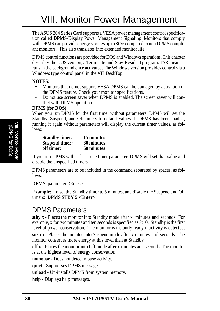The ASUS 264 Series Card supports a VESA power management control specification called **DPMS**-Display Power Management Signaling. Monitors that comply with DPMS can provide energy savings up to 80% compared to non DPMS compliant monitors. This also translates into extended monitor life.

DPMS control functions are provided for DOS and Windows operations. This chapter describes the DOS version, a Terminate-and-Stay-Resident program. TSR means it runs in the background once activated. The Windows version provides control via a Windows type control panel in the ATI DeskTop.

## **NOTES:**

- Monitors that do not support VESA DPMS can be damaged by activation of the DPMS feature. Check your monitor specifications.
- Do not use screen saver when DPMS is enabled. The screen saver will conflict with DPMS operation.

## **DPMS (for DOS)**

When you run DPMS for the first time, without parameters, DPMS will set the Standby, Suspend, and Off timers to default values. If DPMS has been loaded, running it again without parameters will display the current timer values, as follows:

| <b>Standby timer:</b> | 15 minutes        |
|-----------------------|-------------------|
| <b>Suspend timer:</b> | 30 minutes        |
| off timer:            | <b>60 minutes</b> |

If you run DPMS with at least one timer parameter, DPMS will set that value and disable the unspecified timers.

DPMS parameters are to be included in the command separated by spaces, as follows:

**DPMS** parameter <Enter>

**Example:** To set the Standby timer to 5 minutes, and disable the Suspend and Off timers: **DPMS STBY 5 <Enter>**

## DPMS Parameters

**stby x -** Places the monitor into Standby mode after x minutes and seconds. For example, x for two minutes and ten seconds is specified as 2:10. Standby is the first level of power conservation. The monitor is instantly ready if activity is detected.

**susp x -** Places the monitor into Suspend mode after x minutes and seconds. The monitor conserves more energy at this level than at Standby.

**off x -** Places the monitor into Off mode after x minutes and seconds. The monitor is at the highest level of energy conservation.

**nomouse -** Does not detect mouse activity.

**quiet -** Suppresses DPMS messages.

**unload -** Un-installs DPMS from system memory.

**help -** Displays help messages.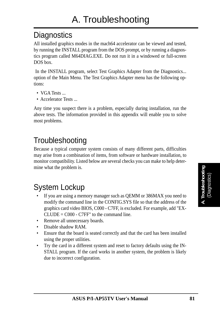## **Diagnostics**

All installed graphics modes in the mach64 accelerator can be viewed and tested, by running the INSTALL program from the DOS prompt, or by running a diagnostics program called M64DIAG.EXE. Do not run it in a windowed or full-screen DOS box.

 In the INSTALL program, select Test Graphics Adapter from the Diagnostics... option of the Main Menu. The Test Graphics Adapter menu has the following options:

- VGA Tests ...
- Accelerator Tests ...

Any time you suspect there is a problem, especially during installation, run the above tests. The information provided in this appendix will enable you to solve most problems.

## **Troubleshooting**

Because a typical computer system consists of many different parts, difficulties may arise from a combination of items, from software or hardware installation, to monitor compatibility. Listed below are several checks you can make to help determine what the problem is.

## System Lockup

- If you are using a memory manager such as QEMM or 386MAX you need to modify the command line in the CONFIG.SYS file so that the address of the graphics card video BIOS, C000 - C7FF, is excluded. For example, add "EX- $CLUDE = CO00 - C7FF''$  to the command line.
- Remove all unnecessary boards.
- Disable shadow RAM.
- Ensure that the board is seated correctly and that the card has been installed using the proper utilities.
- Try the card in a different system and reset to factory defaults using the IN-STALL program. If the card works in another system, the problem is likely due to incorrect configuration.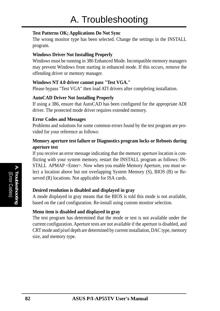## **Test Patterns OK; Applications Do Not Sync**

The wrong monitor type has been selected. Change the settings in the INSTALL program.

## **Windows Driver Not Installing Properly**

Windows must be running in 386 Enhanced Mode. Incompatible memory managers may prevent Windows from starting in enhanced mode. If this occurs, remove the offending driver or memory manager.

## **Windows NT 4.0 driver cannot pass "Test VGA."**

Please bypass "Test VGA" then load ATI drivers after completing installation.

## **AutoCAD Driver Not Installing Properly**

If using a 386, ensure that AutoCAD has been configured for the appropriate ADI driver. The protected mode driver requires extended memory.

## **Error Codes and Messages**

Problems and solutions for some common errors found by the test program are provided for your reference as follows:

## **Memory aperture test failure or Diagnostics program locks or Reboots during aperture test**

If you receive an error message indicating that the memory aperture location is conflicting with your system memory, restart the INSTALL program as follows: IN-STALL APMAP <Enter>. Now when you enable Memory Aperture, you must select a location above but not overlapping System Memory (S), BIOS (B) or Reserved (R) locations. Not applicable for ISA cards.

## **Desired resolution is disabled and displayed in gray**

A mode displayed in gray means that the BIOS is told this mode is not available, based on the card configuration. Re-install using custom monitor selection.

## **Menu item is disabled and displayed in gray**

The test program has determined that the mode or test is not available under the current configuration. Aperture tests are not available if the aperture is disabled, and CRT mode and pixel depth are determined by current installation, DAC type, memory size, and memory type.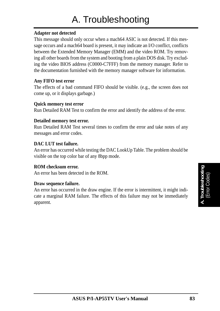## **Adapter not detected**

This message should only occur when a mach64 ASIC is not detected. If this message occurs and a mach64 board is present, it may indicate an I/O conflict, conflicts between the Extended Memory Manager (EMM) and the video ROM. Try removing all other boards from the system and booting from a plain DOS disk. Try excluding the video BIOS address (C0000-C7FFF) from the memory manager. Refer to the documentation furnished with the memory manager software for information.

## **Any FIFO test error**

The effects of a bad command FIFO should be visible. (e.g., the screen does not come up, or it displays garbage.)

#### **Quick memory test error**

Run Detailed RAM Test to confirm the error and identify the address of the error.

## **Detailed memory test error.**

Run Detailed RAM Test several times to confirm the error and take notes of any messages and error codes.

## **DAC LUT test failure.**

An error has occurred while testing the DAC LookUp Table. The problem should be visible on the top color bar of any 8bpp mode.

## **ROM checksum error.**

An error has been detected in the ROM.

## **Draw sequence failure.**

An error has occurred in the draw engine. If the error is intermittent, it might indicate a marginal RAM failure. The effects of this failure may not be immediately apparent.